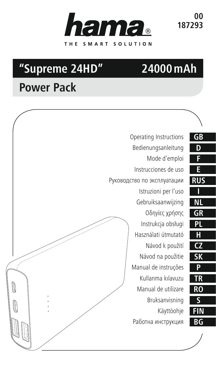

**00 187293**

# **"Supreme 24HD"**

# **24000mAh**

# **Power Pack**



| F              |
|----------------|
| E              |
| <u>US</u><br>R |
|                |
|                |
| R<br>ŀ         |
|                |
|                |
| σ              |
| Ś<br>K         |
| P              |
| R              |
| O              |
|                |
|                |
| t              |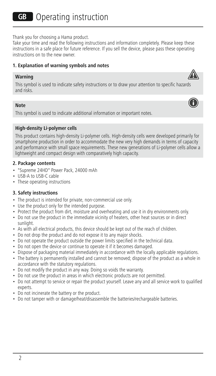Thank you for choosing a Hama product.

Take your time and read the following instructions and information completely. Please keep these instructions in a safe place for future reference. If you sell the device, please pass these operating instructions on to the new owner.

#### **1. Explanation of warning symbols and notes**

#### **Warning**



#### **Note**

This symbol is used to indicate additional information or important notes.

#### **High-density Li-polymer cells**

This product contains high-density Li-polymer cells. High-density cells were developed primarily for smartphone production in order to accommodate the new very high demands in terms of capacity and performance with small space requirements. These new generations of Li-polymer cells allow a lightweight and compact design with comparatively high capacity.

#### **2. Package contents**

- "Supreme 24HD" Power Pack, 24000 mAh
- USB-A to USB-C cable
- These operating instructions

#### **3. Safety instructions**

- The product is intended for private, non-commercial use only.
- Use the product only for the intended purpose.
- Protect the product from dirt, moisture and overheating and use it in dry environments only.
- Do not use the product in the immediate vicinity of heaters, other heat sources or in direct sunlight.
- As with all electrical products, this device should be kept out of the reach of children.
- Do not drop the product and do not expose it to any major shocks.
- Do not operate the product outside the power limits specified in the technical data.
- Do not open the device or continue to operate it if it becomes damaged.
- Dispose of packaging material immediately in accordance with the locally applicable regulations.
- The battery is permanently installed and cannot be removed; dispose of the product as a whole in accordance with the statutory regulations.
- Do not modify the product in any way. Doing so voids the warranty.
- Do not use the product in areas in which electronic products are not permitted.
- Do not attempt to service or repair the product yourself. Leave any and all service work to qualified experts.
- Do not incinerate the battery or the product.
- Do not tamper with or damage/heat/disassemble the batteries/rechargeable batteries.



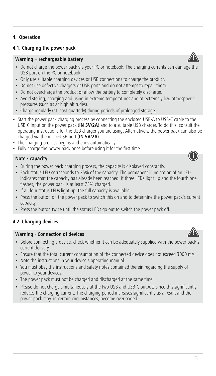## **4.1. Charging the power pack**

## **Warning – rechargeable battery**

- Do not charge the power pack via your PC or notebook. The charging currents can damage the USB port on the PC or notebook.
- Only use suitable charging devices or USB connections to charge the product.
- Do not use defective chargers or USB ports and do not attempt to repair them.
- Do not overcharge the product or allow the battery to completely discharge.
- Avoid storing, charging and using in extreme temperatures and at extremely low atmospheric pressures (such as at high altitudes).
- Charge regularly (at least quarterly) during periods of prolonged storage.
- Start the power pack charging process by connecting the enclosed USB-A to USB-C cable to the USB-C input on the power pack (**IN 5V/2A**) and to a suitable USB charger. To do this, consult the operating instructions for the USB charger you are using. Alternatively, the power pack can also be charged via the micro-USB port (**IN 5V/2A**).
- The charging process begins and ends automatically.
- Fully charge the power pack once before using it for the first time.

## **Note - capacity**

- During the power pack charging process, the capacity is displayed constantly.
- Each status LED corresponds to 25% of the capacity. The permanent illumination of an LED indicates that the capacity has already been reached. If three LEDs light up and the fourth one flashes, the power pack is at least 75% charged.
- If all four status LEDs light up, the full capacity is available.
- Press the button on the power pack to switch this on and to determine the power pack's current capacity.
- Press the button twice until the status LEDs go out to switch the power pack off.

## **4.2. Charging devices**

#### **Warning - Connection of devices**

- Before connecting a device, check whether it can be adequately supplied with the power pack's current delivery.
- Ensure that the total current consumption of the connected device does not exceed 3000 mA.
- Note the instructions in your device's operating manual.
- You must obey the instructions and safety notes contained therein regarding the supply of power to your devices.
- The power pack must not be charged and discharged at the same time!
- Please do not charge simultaneously at the two USB and USB-C outputs since this significantly reduces the charging current. The charging period increases significantly as a result and the power pack may, in certain circumstances, become overloaded.









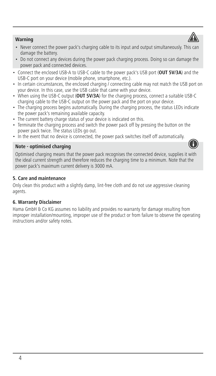

- Never connect the power pack's charging cable to its input and output simultaneously. This can damage the battery.
- Do not connect any devices during the power pack charging process. Doing so can damage the power pack and connected devices.
- Connect the enclosed USB-A to USB-C cable to the power pack's USB port (**OUT 5V/3A**) and the USB-C port on your device (mobile phone, smartphone, etc.).
- In certain circumstances, the enclosed charging / connecting cable may not match the USB port on your device. In this case, use the USB cable that came with your device.
- When using the USB-C output (**OUT 5V/3A**) for the charging process, connect a suitable USB-C charging cable to the USB-C output on the power pack and the port on your device.
- The charging process begins automatically. During the charging process, the status LEDs indicate the power pack's remaining available capacity.
- The current battery charge status of your device is indicated on this.
- Terminate the charging process and switch the power pack off by pressing the button on the power pack twice. The status LEDs go out.
- In the event that no device is connected, the power pack switches itself off automatically.

## **Note - optimised charging**



Optimised charging means that the power pack recognises the connected device, supplies it with the ideal current strength and therefore reduces the charging time to a minimum. Note that the power pack's maximum current delivery is 3000 mA.

## **5. Care and maintenance**

Only clean this product with a slightly damp, lint-free cloth and do not use aggressive cleaning agents.

## **6. Warranty Disclaimer**

Hama GmbH & Co KG assumes no liability and provides no warranty for damage resulting from improper installation/mounting, improper use of the product or from failure to observe the operating instructions and/or safety notes.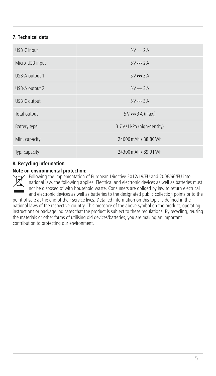## **7. Technical data**

| USB-C input     | $5V = 2A$                  |
|-----------------|----------------------------|
| Micro-USB input | $5V = 2A$                  |
| USB-A output 1  | $5V = 3A$                  |
| USB-A output 2  | $5V = 3A$                  |
| USB-C output    | $5V = 3A$                  |
| Total output    | $5V = 3A (max.)$           |
| Battery type    | 3.7 V/Li-Po (high-density) |
| Min. capacity   | 24000 mAh / 88.80 Wh       |
| Typ. capacity   | 24300 mAh / 89.91 Wh       |

## **8. Recycling information**

#### **Note on environmental protection:**

Following the implementation of European Directive 2012/19/EU and 2006/66/EU into national law, the following applies: Electrical and electronic devices as well as batteries must not be disposed of with household waste. Consumers are obliged by law to return electrical and electronic devices as well as batteries to the designated public collection points or to the

point of sale at the end of their service lives. Detailed information on this topic is defined in the national laws of the respective country. This presence of the above symbol on the product, operating instructions or package indicates that the product is subject to these regulations. By recycling, reusing the materials or other forms of utilising old devices/batteries, you are making an important contribution to protecting our environment.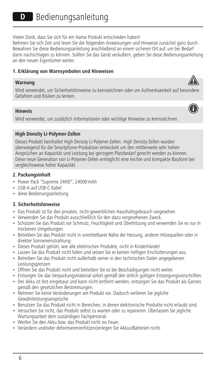Vielen Dank, dass Sie sich für ein Hama Produkt entschieden haben!

Nehmen Sie sich Zeit und lesen Sie die folgenden Anweisungen und Hinweise zunächst ganz durch. Bewahren Sie diese Bedienungsanleitung anschließend an einem sicheren Ort auf, um bei Bedarf darin nachschlagen zu können. Sollten Sie das Gerät veräußern, geben Sie diese Bedienungsanleitung an den neuen Eigentümer weiter.

#### **1. Erklärung von Warnsymbolen und Hinweisen**

#### **Warnung**

Wird verwendet, um Sicherheitshinweise zu kennzeichnen oder um Aufmerksamkeit auf besondere Gefahren und Risiken zu lenken.

## **Hinweis**

Wird verwendet, um zusätzlich Informationen oder wichtige Hinweise zu kennzeichnen.

## **High Density Li-Polymer-Zellen**

Dieses Produkt beinhaltet High Density Li-Polymer-Zellen. High Density-Zellen wurden überwiegend für die Smartphone-Produktion entwickelt um den mittlerweile sehr hohen Ansprüchen an Kapazität und Leistung bei geringem Platzbedarf gerecht werden zu können. Diese neue Generation von Li-Polymer-Zellen ermöglicht eine leichte und kompakte Bauform bei vergleichsweise hoher Kapazität.

## **2. Packungsinhalt**

- Power Pack "Supreme 24HD", 24000mAh
- USB-A auf USB-C Kabel
- diese Bedienungsanleitung

## **3. Sicherheitshinweise**

- Das Produkt ist für den privaten, nicht-gewerblichen Haushaltsgebrauch vorgesehen.
- Verwenden Sie das Produkt ausschließlich für den dazu vorgesehenen Zweck.
- Schützen Sie das Produkt vor Schmutz, Feuchtigkeit und Überhitzung und verwenden Sie es nur in trockenen Umgebungen.
- Betreiben Sie das Produkt nicht in unmittelbarer Nähe der Heizung, anderer Hitzequellen oder in direkter Sonneneinstrahlung.
- Dieses Produkt gehört, wie alle elektrischen Produkte, nicht in Kinderhände!
- Lassen Sie das Produkt nicht fallen und setzen Sie es keinen heftigen Erschütterungen aus.
- Betreiben Sie das Produkt nicht außerhalb seiner in den technischen Daten angegebenen Leistungsgrenzen.
- Öffnen Sie das Produkt nicht und betreiben Sie es bei Beschädigungen nicht weiter.
- Entsorgen Sie das Verpackungsmaterial sofort gemäß den örtlich gültigen Entsorgungsvorschriften.
- Der Akku ist fest eingebaut und kann nicht entfernt werden, entsorgen Sie das Produkt als Ganzes gemäß den gesetzlichen Bestimmungen.
- Nehmen Sie keine Veränderungen am Produkt vor. Dadurch verlieren Sie jegliche Gewährleistungsansprüche.
- Benutzen Sie das Produkt nicht in Bereichen, in denen elektronische Produkte nicht erlaubt sind.
- Versuchen Sie nicht, das Produkt selbst zu warten oder zu reparieren. Überlassen Sie jegliche Wartungsarbeit dem zuständigen Fachpersonal.
- Werfen Sie den Akku bzw. das Produkt nicht ins Feuer.
- Verändern und/oder deformieren/erhitzen/zerlegen Sie Akkus/Batterien nicht.



6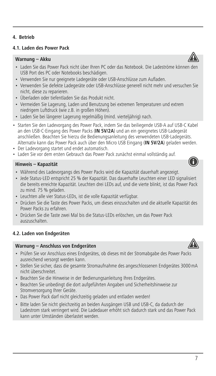## **4. Betrieb**

## **4.1. Laden des Power Pack**

#### **Warnung – Akku**

- Laden Sie das Power Pack nicht über Ihren PC oder das Notebook. Die Ladeströme können de USB Port des PC oder Notebooks beschädigen.
- Verwenden Sie nur geeignete Ladegeräte oder USB-Anschlüsse zum Aufladen.
- Verwenden Sie defekte Ladegeräte oder USB-Anschlüsse generell nicht mehr und versuchen Sie nicht, diese zu reparieren.
- Überladen oder tiefentladen Sie das Produkt nicht.
- Vermeiden Sie Lagerung, Laden und Benutzung bei extremen Temperaturen und extrem niedrigem Luftdruck (wie z.B. in großen Höhen).
- Laden Sie bei längerer Lagerung regelmäßig (mind. vierteljährig) nach.
- Starten Sie den Ladevorgang des Power Pack, indem Sie das beiliegende USB-A auf USB-C Kabel an den USB-C-Eingang des Power Packs (**IN 5V/2A**) und an ein geeignetes USB-Ladegerät anschließen. Beachten Sie hierzu die Bedienungsanleitung des verwendeten USB-Ladegeräts. Alternativ kann das Power Pack auch über den Micro USB Eingang (**IN 5V/2A**) geladen werden.
- Der Ladevorgang startet und endet automatisch.
- Laden Sie vor dem ersten Gebrauch das Power Pack zunächst einmal vollständig auf.

#### **Hinweis – Kapazität**

- Während des Ladevorgangs des Power Packs wird die Kapazität dauerhaft angezeigt.
- Jede Status-LED entspricht 25 % der Kapazität. Das dauerhafte Leuchten einer LED signalisiert die bereits erreichte Kapazität. Leuchten drei LEDs auf, und die vierte blinkt, ist das Power Pack zu mind. 75 % geladen.
- Leuchten alle vier Status-LEDs, ist die volle Kapazität verfügbar.
- Drücken Sie die Taste des Power Packs, um dieses einzuschalten und die aktuelle Kapazität des Power Packs zu erfahren.
- Drücken Sie die Taste zwei Mal bis die Status-LEDs erlöschen, um das Power Pack auszuschalten.

#### **4.2. Laden von Endgeräten**

#### **Warnung – Anschluss von Endgeräten**

- Prüfen Sie vor Anschluss eines Endgerätes, ob dieses mit der Stromabgabe des Power Packs ausreichend versorgt werden kann.
- Stellen Sie sicher, dass die gesamte Stromaufnahme des angeschlossenen Endgerätes 3000mA nicht überschreitet.
- Beachten Sie die Hinweise in der Bedienungsanleitung Ihres Endgerätes.
- Beachten Sie unbedingt die dort aufgeführten Angaben und Sicherheitshinweise zur Stromversorgung Ihrer Geräte.
- Das Power Pack darf nicht gleichzeitig geladen und entladen werden!
- Bitte laden Sie nicht gleichzeitig an beiden Ausgängen USB und USB-C, da dadurch der Ladestrom stark verringert wird. Die Ladedauer erhöht sich dadurch stark und das Power Pack kann unter Umständen überlastet werden.



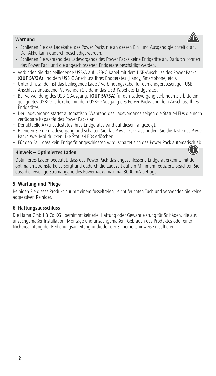#### **Warnung**



- Schließen Sie das Ladekabel des Power Packs nie an dessen Ein- und Ausgang gleichzeitig an. Der Akku kann dadurch beschädigt werden.
- Schließen Sie während des Ladevorgangs des Power Packs keine Endgeräte an. Dadurch können das Power Pack und die angeschlossenen Endgeräte beschädigt werden.
- Verbinden Sie das beiliegende USB-A auf USB-C Kabel mit dem USB-Anschluss des Power Packs (**OUT 5V/3A**) und dem USB-C-Anschluss Ihres Endgerätes (Handy, Smartphone, etc.).
- Unter Umständen ist das beiliegende Lade-/ Verbindungskabel für den endgeräteseitigen USB-Anschluss unpassend. Verwenden Sie dann das USB-Kabel des Endgerätes.
- Bei Verwendung des USB-C-Ausgangs (**OUT 5V/3A**) für den Ladevorgang verbinden Sie bitte ein geeignetes USB-C-Ladekabel mit dem USB-C-Ausgang des Power Packs und dem Anschluss Ihres Endgerätes.
- Der Ladevorgang startet automatisch. Während des Ladevorgangs zeigen die Status-LEDs die noch verfügbare Kapazität des Power Packs an.
- Der aktuelle Akku-Ladestatus Ihres Endgerätes wird auf diesem angezeigt.
- Beenden Sie den Ladevorgang und schalten Sie das Power Pack aus, indem Sie die Taste des Power Packs zwei Mal drücken. Die Status-LEDs erlöschen.
- Für den Fall, dass kein Endgerät angeschlossen wird, schaltet sich das Power Pack automatisch ab.

#### **Hinweis – Optimiertes Laden**



#### **5. Wartung und Pflege**

Reinigen Sie dieses Produkt nur mit einem fusselfreien, leicht feuchten Tuch und verwenden Sie keine aggressiven Reiniger.

#### **6. Haftungsausschluss**

Die Hama GmbH & Co KG übernimmt keinerlei Haftung oder Gewährleistung für Sc häden, die aus unsachgemäßer Installation, Montage und unsachgemäßem Gebrauch des Produktes oder einer Nichtbeachtung der Bedienungsanleitung und/oder der Sicherheitshinweise resultieren.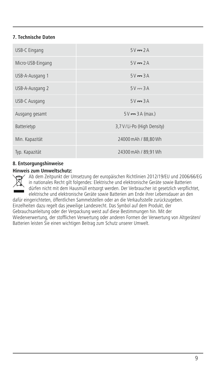## **7. Technische Daten**

| USB-C Eingang     | $5V = 2A$                    |
|-------------------|------------------------------|
| Micro-USB-Eingang | $5V = 2A$                    |
| USB-A-Ausgang 1   | $5V = 3A$                    |
| USB-A-Ausgang 2   | $5V = 3A$                    |
| USB-C Ausgang     | $5V = 3A$                    |
| Ausgang gesamt    | $5V \rightarrow 3A$ (max.)   |
| Batterietyp       | 3,7 V / Li-Po (High Density) |
| Min. Kapazität    | 24000 mAh / 88,80 Wh         |
| Typ. Kapazität    | 24300 mAh / 89,91 Wh         |

## **8. Entsorgungshinweise**

#### **Hinweis zum Umweltschutz:**



Ab dem Zeitpunkt der Umsetzung der europäischen Richtlinien 2012/19/EU und 2006/66/EG in nationales Recht gilt folgendes: Elektrische und elektronische Geräte sowie Batterien dürfen nicht mit dem Hausmüll entsorgt werden. Der Verbraucher ist gesetzlich verpflichtet, elektrische und elektronische Geräte sowie Batterien am Ende ihrer Lebensdauer an den

dafür eingerichteten, öffentlichen Sammelstellen oder an die Verkaufsstelle zurückzugeben. Einzelheiten dazu regelt das jeweilige Landesrecht. Das Symbol auf dem Produkt, der Gebrauchsanleitung oder der Verpackung weist auf diese Bestimmungen hin. Mit der Wiederverwertung, der stofflichen Verwertung oder anderen Formen der Verwertung von Altgeräten/ Batterien leisten Sie einen wichtigen Beitrag zum Schutz unserer Umwelt.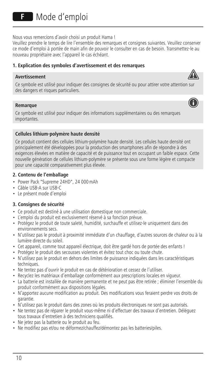Nous vous remercions d'avoir choisi un produit Hama !

Veuillez prendre le temps de lire l'ensemble des remarques et consignes suivantes. Veuillez conserver ce mode d'emploi à portée de main afin de pouvoir le consulter en cas de besoin. Transmettez-le au nouveau propriétaire avec l'appareil le cas échéant.

## **1. Explication des symboles d'avertissement et des remarques**

#### **Avertissement**



A

#### **Remarque**

Ce symbole est utilisé pour indiquer des informations supplémentaires ou des remarques importantes.

## **Cellules lithium-polymère haute densité**

Ce produit contient des cellules lithium-polymère haute densité. Les cellules haute densité ont principalement été développées pour la production des smartphones afin de répondreàdes exigences élevées en matière de capacité et de puissance tout en occupant un faible espace. Cette nouvelle génération de cellules lithium-polymère se présente sous une forme légère et compacte pour une capacité comparativement plus élevée.

## **2. Contenu de l'emballage**

- Power Pack "Supreme 24HD", 24 000mAh
- Câble USB-A sur USB-C
- Le présent mode d'emploi

## **3. Consignes de sécurité**

- Ce produit est destiné à une utilisation domestique non commerciale.
- L'emploi du produit est exclusivement réservé à sa fonction prévue.
- Protégez le produit de toute saleté, humidité, surchauffe et utilisez-le uniquement dans des environnements secs.
- N'utilisez pas le produit à proximité immédiate d'un chauffage, d'autres sources de chaleur ou à la lumière directe du soleil.
- Cet appareil, comme tout appareil électrique, doit être gardé hors de portée des enfants !
- Protégez le produit des secousses violentes et évitez tout choc ou toute chute.
- N'utilisez pas le produit en dehors des limites de puissance indiquées dans les caractéristiques techniques.
- Ne tentez pas d'ouvrir le produit en cas de détérioration et cessez de l'utiliser.
- Recyclez les matériaux d'emballage conformément aux prescriptions locales en vigueur.
- La batterie est installée de manière permanente et ne peut pas être retirée ; éliminer l'ensemble du produit conformément aux dispositions légales.
- N'apportez aucune modification au produit. Des modifications vous feraient perdre vos droits de garantie.
- N'utilisez pas le produit dans des zones où les produits électroniques ne sont pas autorisés.
- Ne tentez pas de réparer le produit vous-même ni d'effectuer des travaux d'entretien. Déléguez tous travaux d'entretien à des techniciens qualifiés.
- Ne jetez pas la batterie ou le produit au feu.
- Ne modifiez pas et/ou ne déformez/chauffez/démontez pas les batteries/piles.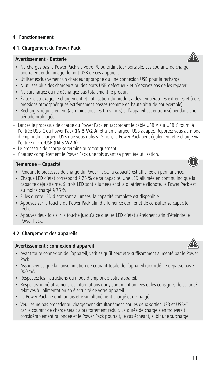## **4.1. Chargement du Power Pack**

## **Avertissement - Batterie**

- Ne chargez pas le Power Pack via votre PC ou ordinateur portable. Les courants de charge pourraient endommager le port USB de ces appareils.
- Utilisez exclusivement un chargeur approprié ou une connexion USB pour la recharge.
- N'utilisez plus des chargeurs ou des ports USB défectueux et n'essayez pas de les réparer.
- Ne surchargez ou ne déchargez pas totalement le produit.
- Évitez le stockage, le chargement et l'utilisation du produit à des températures extrêmes et à des pressions atmosphériques extrêmement basses (comme en haute altitude par exemple).
- Rechargez régulièrement (au moins tous les trois mois) si l'appareil est entreposé pendant une période prolongée.
- Lancez le processus de charge du Power Pack en raccordant le câble USB-A sur USB-C fourni à l'entrée USB-C du Power Pack (**IN 5 V/2 A**) etàun chargeur USB adapté. Reportez-vous au mode d'emploi du chargeur USB que vous utilisez. Sinon, le Power Pack peut également être chargé via l'entrée micro-USB (**IN 5 V/2 A**).
- Le processus de charge se termine automatiquement.
- Chargez complètement le Power Pack une fois avant sa première utilisation.

#### **Remarque – Capacité**

- Pendant le processus de charge du Power Pack, la capacité est affichée en permanence.
- Chaque LED d'état correspond à 25%de sa capacité. Une LED allumée en continu indique la capacité déjà atteinte. Si trois LED sont allumées et si la quatrième clignote, le Power Pack est au moins chargé à 75 %.
- Si les quatre LED d'état sont allumées, la capacité complète est disponible.
- Appuyez sur la touche du Power Pack afin d'allumer ce dernier et de consulter sa capacité réelle.
- Appuyez deux fois sur la touche jusqu'à ce que les LED d'état s'éteignent afin d'éteindre le Power Pack.

#### **4.2. Chargement des appareils**

#### **Avertissement : connexion d'appareil**

- Avant toute connexion de l'appareil, vérifiez qu'il peut être suffisamment alimenté par le Power Pack.
- Assurez-vous que la consommation de courant totale de l'appareil raccordé ne dépasse pas 3 000mA.
- Respectez les instructions du mode d'emploi de votre appareil.
- Respectez impérativement les informations qui y sont mentionnées et les consignes de sécurité relatives à l'alimentation en électricité de votre appareil.
- Le Power Pack ne doit jamais être simultanément chargé et déchargé !
- Veuillez ne pas procéder au chargement simultanément par les deux sorties USB et USB-C car le courant de charge serait alors fortement réduit. La durée de charge s'en trouverait considérablement rallongée et le Power Pack pourrait, le cas échéant, subir une surcharge.





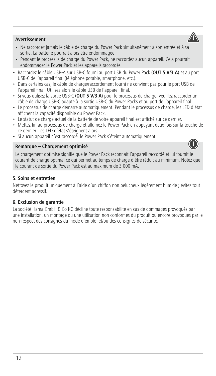## **Avertissement**

- Ne raccordez jamais le câble de charge du Power Pack simultanément à son entrée et à sa sortie. La batterie pourrait alors être endommagée.
- Pendant le processus de charge du Power Pack, ne raccordez aucun appareil. Cela pourrait endommager le Power Pack et les appareils raccordés.
- Raccordez le câble USB-A sur USB-C fourni au port USB du Power Pack (**OUT 5 V/3 A**) et au port USB-C de l'appareil final (téléphone potable, smartphone, etc.).
- Dans certains cas, le câble de charge/raccordement fourni ne convient pas pour le port USB de l'appareil final. Utilisez alors le câble USB de l'appareil final.
- Si vous utilisez la sortie USB-C (**OUT 5 V/3 A**) pour le processus de charge, veuillez raccorder un câble de charge USB-C adapté à la sortie USB-C du Power Packs et au port de l'appareil final.
- Le processus de charge démarre automatiquement. Pendant le processus de charge, les LED d'état affichent la capacité disponible du Power Pack.
- Le statut de charge actuel de la batterie de votre appareil final est affiché sur ce dernier.
- Mettez fin au processus de charge et allumez le Power Pack en appuyant deux fois sur la touche de ce dernier. Les LED d'état s'éteignent alors.
- Si aucun appareil n'est raccordé, le Power Pack s'éteint automatiquement.

## **Remarque – Chargement optimisé**

Le chargement optimisé signifie que le Power Pack reconnaît l'appareil raccordé et lui fournit le courant de charge optimal ce qui permet au temps de charge d'être réduit au minimum. Notez que le courant de sortie du Power Pack est au maximum de 3 000 mA.

## **5. Soins et entretien**

Nettoyez le produit uniquement à l'aide d'un chiffon non pelucheux légèrement humide ; évitez tout détergent agressif.

## **6. Exclusion de garantie**

La société Hama GmbH & Co KG décline toute responsabilité en cas de dommages provoqués par une installation, un montage ou une utilisation non conformes du produit ou encore provoqués par le non-respect des consignes du mode d'emploi et/ou des consignes de sécurité.



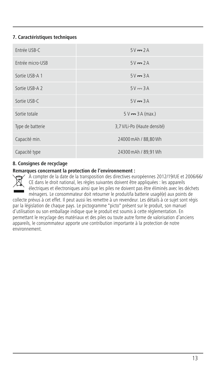## **7. Caractéristiques techniques**

| Fntrée USB-C     | $5V = 2A$                   |
|------------------|-----------------------------|
| Entrée micro-USB | $5V = 2A$                   |
| Sortie USB-A 1   | $5V = 3A$                   |
| Sortie USB-A 2   | $5V = 3A$                   |
| Sortie USB-C     | $5V = 3A$                   |
| Sortie totale    | $5V = 3A (max.)$            |
| Type de batterie | 3,7 V/Li-Po (Haute densité) |
| Capacité min.    | 24000 mAh / 88,80 Wh        |
| Capacité type    | 24300 mAh / 89,91 Wh        |

## **8. Consignes de recyclage**

#### **Remarques concernant la protection de l'environnement :**

À compter de la date de la transposition des directives européennes 2012/19/UE et 2006/66/ CE dans le droit national, les règles suivantes doivent être appliquées : les appareils électriques et électroniques ainsi que les piles ne doivent pas être éliminés avec les déchets ménagers. Le consommateur doit retourner le produit/la batterie usagé(e) aux points de

collecte prévus à cet effet. Il peut aussi les remettre à un revendeur. Les détails à ce sujet sont régis par la législation de chaque pays. Le pictogramme "picto" présent sur le produit, son manuel d'utilisation ou son emballage indique que le produit est soumis à cette réglementation. En permettant le recyclage des matériaux et des piles ou toute autre forme de valorisation d'anciens appareils, le consommateur apporte une contribution importante à la protection de notre environnement.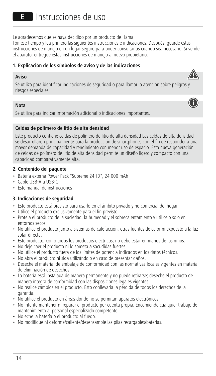Le agradecemos que se haya decidido por un producto de Hama.

Tómese tiempo y lea primero las siguientes instrucciones e indicaciones. Después, guarde estas instrucciones de manejo en un lugar seguro para poder consultarlas cuando sea necesario. Si vende el aparato, entregue estas instrucciones de manejo al nuevo propietario.

## **1. Explicación de los símbolos de aviso y de las indicaciones**

#### **Aviso**

Se utiliza para identificar indicaciones de seguridad o para llamar la atención sobre peligros y riesgos especiales.

#### **Nota**

Se utiliza para indicar información adicional o indicaciones importantes.

## **Celdas de polímero de litio de alta densidad**

Este producto contiene celdas de polímero de litio de alta densidad Las celdas de alta densidad se desarrollaron principalmente para la producción de smartphones con el fin de responder a una mayor demanda de capacidad y rendimiento con menor uso de espacio. Esta nueva generación de celdas de polímero de litio de alta densidad permite un diseño ligeroycompacto con una capacidad comparativamente alta.

## **2. Contenido del paquete**

- Batería externa Power Pack "Supreme 24HD", 24 000 mAh
- Cable USB-AaUSB-C
- Este manual de instrucciones

## **3. Indicaciones de seguridad**

- Este producto está previsto para usarlo en el ámbito privado y no comercial del hogar.
- Utilice el producto exclusivamente para el fin previsto.
- Proteja el producto de la suciedad, la humedad y el sobrecalentamiento y utilícelo solo en entornos secos.
- No utilice el producto junto a sistemas de calefacción, otras fuentes de calor ni expuesto a la luz solar directa.
- Este producto, como todos los productos eléctricos, no debe estar en manos de los niños.
- No deje caer el producto ni lo someta a sacudidas fuertes.
- No utilice el producto fuera de los límites de potencia indicados en los datos técnicos.
- No abra el producto ni siga utilizándolo en caso de presentar daños.
- Deseche el material de embalaje de conformidad con las normativas locales vigentes en materia de eliminación de desechos.
- La batería está instalada de manera permanente y no puede retirarse; deseche el producto de manera íntegra de conformidad con las disposiciones legales vigentes.
- No realice cambios en el producto. Esto conllevaría la pérdida de todos los derechos de la garantía.
- No utilice el producto en áreas donde no se permitan aparatos electrónicos.
- No intente mantener ni reparar el producto por cuenta propia. Encomiende cualquier trabajo de mantenimiento al personal especializado competente.
- No eche la batería o el producto al fuego.
- No modifique ni deforme/caliente/desensamble las pilas recargables/baterías.



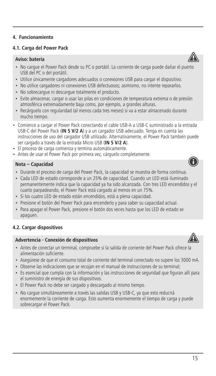## **4. Funcionamiento**

## **4.1. Carga del Power Pack**

## **Aviso: batería**

- No cargue el Power Pack desde su PC o portátil. La corriente de carga puede dañar el puerto USB del PC o del portátil.
- Utilice únicamente cargadores adecuados o conexiones USB para cargar el dispositivo.
- No utilice cargadores ni conexiones USB defectuosos; asimismo, no intente repararlos.
- No sobrecargue ni descargue totalmente el producto.
- Evite almacenar, cargar o usar las pilas en condiciones de temperatura extrema o de presión atmosférica extremadamente baja como, por ejemplo, a grandes alturas.
- Recárguelo con regularidad (al menos cada tres meses) si va a estar almacenado durante mucho tiempo.
- Comience a cargar el Power Pack conectando el cable USB-AaUSB-C suministrado a la entrada USB-C del Power Pack (**IN 5 V/2 A**)yaun cargador USB adecuado. Tenga en cuenta las instrucciones de uso del cargador USB utilizado. Alternativamente, el Power Pack también puede ser cargado a través de la entrada Micro USB (**IN 5 V/2 A**).
- El proceso de carga comienza y termina automáticamente.
- Antes de usar el Power Pack por primera vez, cárguelo completamente.

## **Nota – Capacidad**

- Durante el proceso de carga del Power Pack, la capacidad se muestra de forma continua.
- Cada LED de estado corresponde a un 25% de capacidad. Cuando un LED está iluminado permanentemente indica que la capacidad ya ha sido alcanzada. Con tres LED encendidos y el cuarto parpadeando, el Power Pack está cargado al menos en un 75%.
- Si los cuatro LED de estado están encendidos, está a plena capacidad.
- Presione el botón del Power Pack para encenderlo y para saber su capacidad actual.
- Para apagar el Power Pack, presione el botón dos veces hasta que los LED de estado se apaguen.

## **4.2. Cargar dispositivos**

#### **Advertencia - Conexión de dispositivos**

- Antes de conectar un terminal, compruebe si la salida de corriente del Power Pack ofrece la alimentación suficiente.
- Asegúrese de que el consumo total de corriente del terminal conectado no supere los 3000 mA.
- Observe las indicaciones que se recojan en el manual de instrucciones de su terminal;
- Es esencial que cumpla con la información y las instrucciones de seguridad que figuran allí para el suministro de energía de sus dispositivos.
- El Power Pack no debe ser cargado y descargado al mismo tiempo.
- No cargue simultáneamente a través las salidas USB y USB-C, ya que esto reducirá enormemente la corriente de carga. Esto aumenta enormemente el tiempo de carga y puede sobrecargar el Power Pack.







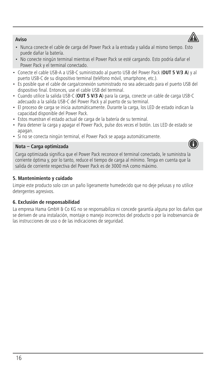## **Aviso**

- Nunca conecte el cable de carga del Power Pack a la entrada y salida al mismo tiempo. Esto puede dañar la batería.
- No conecte ningún terminal mientras el Power Pack se esté cargando. Esto podría dañar el Power Pack y el terminal conectado.
- Conecte el cable USB-AaUSB-C suministrado al puerto USB del Power Pack (**OUT 5 V/3 A**)yal puerto USB-C de su dispositivo terminal (teléfono móvil, smartphone, etc.).
- Es posible que el cable de carga/conexión suministrado no sea adecuado para el puerto USB del dispositivo final. Entonces, use el cable USB del terminal.
- Cuando utilice la salida USB-C (**OUT 5 V/3 A**) para la carga, conecte un cable de carga USB-C adecuado a la salida USB-C del Power Pack y al puerto de su terminal.
- El proceso de carga se inicia automáticamente. Durante la carga, los LED de estado indican la capacidad disponible del Power Pack.
- Estos muestran el estado actual de carga de la batería de su terminal.
- Para detener la carga y apagar el Power Pack, pulse dos veces el botón. Los LED de estado se apagan.
- Si no se conecta ningún terminal, el Power Pack se apaga automáticamente.

#### **Nota – Carga optimizada**

Carga optimizada significa que el Power Pack reconoce el terminal conectado, le suministra la corriente óptima y, por lo tanto, reduce el tiempo de carga al mínimo. Tenga en cuenta que la salida de corriente respectiva del Power Pack es de 3000 mA como máximo.

## **5. Mantenimiento y cuidado**

Limpie este producto solo con un paño ligeramente humedecido que no deje pelusas y no utilice detergentes agresivos.

## **6. Exclusión de responsabilidad**

La empresa Hama GmbH & Co KG no se responsabiliza ni concede garantía alguna por los daños que se deriven de una instalación, montaje o manejo incorrectos del producto o por la inobservancia de las instrucciones de uso o de las indicaciones de seguridad.



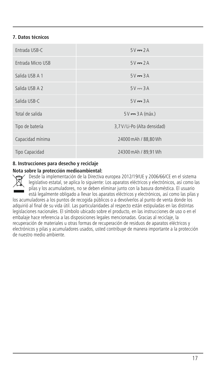## **7. Datos técnicos**

| Fntrada USB-C     | $5V = 2A$                     |
|-------------------|-------------------------------|
| Entrada Micro USB | $5V = 2A$                     |
| Salida USB A 1    | $5V = 3A$                     |
| Salida USB A 2    | $5V = 3A$                     |
| Salida USB-C      | $5V = 3A$                     |
| Total de salida   | $5V = 3A$ (máx.)              |
| Tipo de batería   | 3,7 V / Li-Po (Alta densidad) |
| Capacidad mínima  | 24000 mAh / 88,80 Wh          |
| Tipo Capacidad    | 24300 mAh / 89,91 Wh          |

## **8. Instrucciones para desecho y reciclaje**

## **Nota sobre la protección medioambiental:**



Desde la implementación de la Directiva europea 2012/19/UE y 2006/66/CE en el sistema legislativo estatal, se aplica lo siguiente: Los aparatos eléctricos y electrónicos, así como las pilas y los acumuladores, no se deben eliminar junto con la basura doméstica. El usuario está legalmente obligado a llevar los aparatos eléctricos y electrónicos, así como las pilas y

los acumuladores a los puntos de recogida públicos o a devolverlos al punto de venta donde los adquirió al final de su vida útil. Las particularidades al respecto están estipuladas en las distintas legislaciones nacionales. El símbolo ubicado sobre el producto, en las instrucciones de uso o en el embalaje hace referencia a las disposiciones legales mencionadas. Gracias al reciclaje, la recuperación de materiales u otras formas de recuperación de residuos de aparatos eléctricos y electrónicos y pilas y acumuladores usados, usted contribuye de manera importante a la protección de nuestro medio ambiente.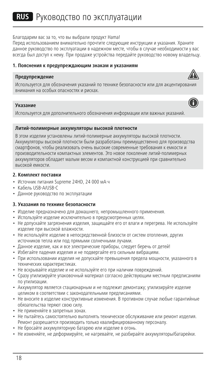#### Благодарим вас за то, что вы выбрали продукт Hama!

Перед использованием внимательно прочтите следующие инструкции и указания. Храните данное руководство по эксплуатации в надежном месте, чтобы в случае необходимости у вас всегда был доступ к нему. При продаже устройства передайте руководство новому владельцу.

## **1. Пояснения к предупреждающим знакам и указаниям**

#### **Предупреждение**



A

## **Указание**

Используется для дополнительного обозначения информации или важных указаний.

#### **Литий-полимерные аккумуляторы высокой плотности**

В этом изделии установлены литий-полимерные аккумуляторы высокой плотности. Аккумуляторы высокой плотности были разработаны преимущественно для производства смартфонов, чтобы реализовать очень высокие современные требования к емкости и производительности компактных элементов. Это новое поколение литий-полимерных аккумуляторов обладает малым весом и компактной конструкцией при сравнительно высокой емкости.

#### **2. Комплект поставки**

- Источник питания Supreme 24HD, 24 000 мА-ч
- Кабель USB-А/USB-C
- Данное руководство по эксплуатации

#### **3. Указания по технике безопасности**

- Изделие предназначено для домашнего, непромышленного применения.
- Используйте изделие исключительно в предусмотренных целях.
- Не допускайте загрязнения изделия, защищайте его от влаги и перегрева. Не используйте изделие при высокой влажности.
- Не используйте изделие в непосредственной близости от систем отопления, других источников тепла или под прямыми солнечными лучами.
- Данное изделие, как и все электрические приборы, следует беречь от детей!
- Избегайте падения изделия и не подвергайте его сильным вибрациям.
- При использовании изделия не допускайте превышения предела мощности, указанного в технических характеристиках.
- Не вскрывайте изделие и не используйте его при наличии повреждений.
- Сразу утилизируйте упаковочный материал согласно действующим местным предписаниям по утилизации.
- Аккумулятор является стационарным и не подлежит демонтажу; утилизируйте изделие целиком в соответствии с законодательными предписаниями.
- Не вносите в изделие конструктивные изменения. В противном случае любые гарантийные обязательства теряют свою силу.
- Не применяйте в запретных зонах.
- Не пытайтесь самостоятельно выполнять техническое обслуживание или ремонт изделия. Ремонт разрешается производить только квалифицированному персоналу.
- Не бросайте аккумуляторную батарею или изделие в огонь.
- Не изменяйте, не деформируйте, не нагревайте, не разбирайте аккумуляторы/батарейки.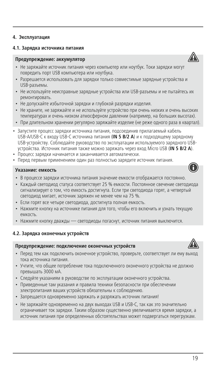## **4.1. Зарядка источника питания**

#### **Предупреждение: аккумулятор**

- Не заряжайте источник питания через компьютер или ноутбук. Токи зарядки могут повредить порт USB компьютера или ноутбука.
- Разрешается использовать для зарядки только совместимые зарядные устройства и USB-разъемы.
- Не используйте неисправные зарядные устройства или USB-разъемы и не пытайтесь их ремонтировать.
- Не допускайте избыточной зарядки и глубокой разрядки изделия.
- Не храните, не заряжайте и не используйте устройство при очень низких и очень высоких температурах и очень низком атмосферном давлении (например, на больших высотах).
- При длительном хранении регулярно заряжайте изделие (не реже одного раза в квартал).
- Запустите процесс зарядки источника питания, подсоединив прилагаемый кабель USB-A/USB-C к входу USB-C источника питания (**IN 5 В/2 А**) икподходящему зарядному USB-устройству. Соблюдайте руководство по эксплуатации используемого зарядного USBустройства. Источник питания также можно заряжать через вход Micro USB (**IN 5 В/2 А**).
- Процесс зарядки начинается и заканчивается автоматически.
- Перед первым применением один раз полностью зарядите источник питания.

#### **Указание: емкость**

- В процессе зарядки источника питания значение емкости отображается постоянно.
- Каждый светодиод статуса соответствует 25 % емкости. Постоянное свечение светодиода сигнализирует о том, что емкость достигнута. Если три светодиода горят, а четвертый светодиод мигает, источник заряжен не менее чем на 75 %.
- Если горят все четыре светодиода, достигнута полная емкость.
- Нажмите кнопку на источнике питания для того, чтобы его включить и узнать текущую емкость.
- Нажмите кнопку дважды светодиоды погаснут, источник питания выключится.

#### **4.2. Зарядка оконечных устройств**

#### **Предупреждение: подключение оконечных устройств**

- Перед тем как подключить оконечное устройство, проверьте, соответствует ли ему выход тока источника питания.
- Учтите, что общее потребление тока подключенного оконечного устройства не должно превышать 3000 мА.
- Следуйте указаниям в руководстве по эксплуатации оконечного устройства.
- Приведенные там указания и правила техники безопасности при обеспечении электропитания ваших устройств обязательны к соблюдению.
- Запрещается одновременно заряжать и разряжать источник питания!
- Не заряжайте одновременно на двух выходах USB и USB-C, так как это значительно ограничивает ток зарядки. Таким образом существенно увеличивается время зарядки, а источник питания при определенных обстоятельствах может подвергаться перегрузкам.





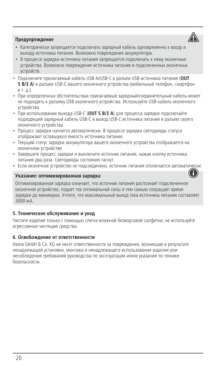## **Предупреждение**

- 
- Категорически запрещается подключать зарядный кабель одновременно к входу и выходу источника питания. Возможно повреждение аккумулятора.
- В процессе зарядки источника питания запрещается подключать к нему оконечные устройства. Возможно повреждение источника питания и подключенных оконечных устройств.
- Подключите прилагаемый кабель USB-A/USB-C в разъем USB источника питания (**OUT 5 В/3 А**) и разъем USB-C вашего оконечного устройства (мобильный телефон, смартфон и т. д.).
- При определенных обстоятельствах прилагаемый зарядный/соединительный кабель может не подходить к разъему USB оконечного устройства. Используйте USB-кабель оконечного устройства.
- При использовании выхода USB-C (**OUT 5 В/3 А**) для процесса зарядки подключайте подходящий зарядный кабель USB-C в выход USB-C источника питания и разъем своего оконечного устройства.
- Процесс зарядки начнется автоматически. В процессе зарядки светодиоды статуса отображают оставшуюся емкость источника питания.
- Текущий статус зарядки аккумулятора вашего оконечного устройства отображается на оконечном устройстве.
- Завершите процесс зарядки и выключите источник питания, нажав кнопку источника питания два раза. Светодиоды состояния гаснут.
- Если оконечное устройство не подсоединено, источник питания отключается автоматически.

#### **Указание: оптимизированная зарядка**



Оптимизированная зарядка означает, что источник питания распознает подключенное оконечное устройство, подает ток оптимальной силы и тем самым сокращает время зарядки до минимума. Учтите, что максимальный выход тока источника питания составляет 3000 мА.

#### **5. Техническое обслуживание и уход**

Чистите изделие только с помощью слегка влажной безворсовой салфетки; не используйте агрессивные чистящие средства.

#### **6. Освобождение от ответственности**

Hama GmbH & Co. KG не несет ответственности за повреждения, возникшие в результате ненадлежащей установки, монтажа и ненадлежащего использования изделия или несоблюдения требований руководства по эксплуатации и/или указаний по технике безопасности.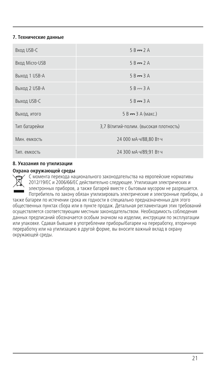## **7. Технические данные**

| Вход USB-C     | $5B - 2A$                              |
|----------------|----------------------------------------|
| Вход Micro-USB | $5B - 2A$                              |
| Выход 1 USB-A  | $5B = 3A$                              |
| Выход 2 USB-A  | $5B \rightarrow 3A$                    |
| Выход USB-C    | $5B = 3A$                              |
| Выход, итого   | 5 В -- 3 А (макс.)                     |
| Тип батарейки  | 3,7 В/литий-полим. (высокая плотность) |
| Мин. емкость   | 24 000 MA·4/88.80 BT·4                 |
| Тип. емкость   | 24 300 MA·4/89,91 BT·4                 |

#### **8. Указания по утилизации**

#### **Охрана окружающей среды**

С момента перехода национального законодательства на европейские нормативы 2012/19/ЕС и 2006/66/ЕС действительно следующее. Утилизация электрических и электронных приборов, а также батарей вместе с бытовым мусором не разрешается. Потребитель по закону обязан утилизировать электрические и электронные приборы, а также батареи по истечении срока их годности в специально предназначенных для этого общественных пунктах сбора или в пункте продаж. Детальная регламентация этих требований осуществляется соответствующим местным законодательством. Необходимость соблюдения данных предписаний обозначается особым значком на изделии, инструкции по эксплуатации или упаковке. Сдавая бывшие в употреблении приборы/батареи на переработку, вторичную переработку или на утилизацию в другой форме, вы вносите важный вклад в охрану окружающей среды.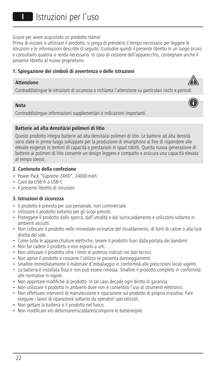**III**I Istruzioni per l'uso

Grazie per avere acquistato un prodotto Hama!

Prima di iniziare a utilizzare il prodotto, si prega di prendersi il tempo necessario per leggere le istruzioni e le informazioni descritte di seguito. Custodire quindi il presente libretto in un luogo sicuro e consultarlo qualora si renda necessario. In caso di cessione dell'apparecchio, consegnare anche il presente libretto al nuovo proprietario.

#### **1. Spiegazione dei simboli di avvertenza e delle istruzioni**

#### **Attenzione**

Contraddistingue le istruzioni di sicurezza o richiama l'attenzione su particolari rischi e pericoli.

#### **Nota**

Contraddistingue informazioni supplementari o indicazioni importanti.

#### **Batterie ad alta densità/ai polimeri di litio**

Questo prodotto integra batterie ad alta densità/ai polimeri di litio. Le batterie ad alta densità sono state in primo luogo sviluppate per la produzione di smartphone al fine di rispondere alle elevate esigenze in termini di capacità e prestazioni in spazi ridotti. Questa nuova generazione di batterie ai polimeri di litio consente un design leggero e compatto e assicura una capacità elevata al tempo stesso.

#### **2. Contenuto della confezione**

- Power Pack "Supreme 24HD", 24000mAh
- Cavo da USB-AaUSB-C
- Il presente libretto di istruzioni

#### **3. Istruzioni di sicurezza**

- Il prodotto è previsto per uso personale, non commerciale.
- Utilizzare il prodotto soltanto per gli scopi previsti.
- Proteggere il prodotto dallo sporco, dall'umidità e dal surriscaldamento e utilizzarlo soltanto in ambienti asciutti.
- Non collocare il prodotto nelle immediate vicinanze del riscaldamento, di fonti di calore o alla luce diretta del sole.
- Come tutte le apparecchiature elettriche, tenere il prodotto fuori dalla portata dei bambini!
- Non far cadere il prodotto e non esporlo a urti.
- Non utilizzare il prodotto oltre i limiti di potenza indicati nei dati tecnici.
- Non aprire il prodotto e cessarne l'utilizzo se presenta danneggiamenti.
- Smaltire immediatamente il materiale d'imballaggio in conformità alle prescrizioni locali vigenti.
- La batteria è installata fissa e non può essere rimossa. Smaltire il prodotto completo in conformità alle normative in vigore.
- Non apportare modifiche al prodotto. In tal caso decade ogni diritto di garanzia.
- Non utilizzare il prodotto in ambienti dove non è consentito l'uso di strumenti elettronici.
- Non effettuare interventi di manutenzione e riparazione sul prodotto di propria iniziativa. Fare eseguire i lavori di riparazione soltanto da operatori specializzati.
- Non gettare la batteria o il prodotto nel fuoco.
- Non modificare e/o deformare/riscaldare/scomporre le batterie/pile.



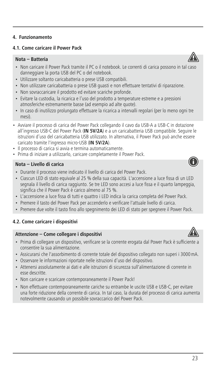## **4.1. Come caricare il Power Pack**

## **Nota – Batteria**

- Non caricare il Power Pack tramite il PC o il notebook. Le correnti di carica possono in tal caso danneggiare la porta USB del PC o del notebook.
- Utilizzare soltanto caricabatteria o prese USB compatibili.
- Non utilizzare caricabatteria o prese USB guasti e non effettuare tentativi di riparazione.
- Non sovraccaricare il prodotto ed evitare scariche profonde.
- Evitare la custodia, la ricarica e l'uso del prodotto a temperature estreme eapressioni atmosferiche estremamente basse (ad esempio ad alte quote).
- In caso di inutilizzo prolungato effettuare la ricarica a intervalli regolari (per lo meno ogni tre mesi).
- Avviare il processo di carica del Power Pack collegando il cavo da USB-A a USB-C in dotazione all'ingresso USB-C del Power Pack (**IN 5V/2A**) e a un caricabatteria USB compatibile. Seguire le istruzioni d'uso del caricabatteria USB utilizzato. In alternativa, il Power Pack può anche essere caricato tramite l'ingresso micro-USB (**IN 5V/2A**).
- Il processo di carica si avvia e termina automaticamente.
- Prima di iniziare a utilizzarlo, caricare completamente il Power Pack.

## **Nota – Livello di carica**

- Durante il processo viene indicato il livello di carica del Power Pack.
- Ciascun LED di stato equivale al 25 % della sua capacità. L'accensione a luce fissa di un LED segnala il livello di carica raggiunto. Se tre LED sono accesi a luce fissa e il quarto lampeggia, significa che il Power Pack è carico almeno al 75 %.
- L'accensione a luce fissa di tutti e quattro i LED indica la carica completa del Power Pack.
- Premere il tasto del Power Pack per accenderlo e verificare l'attuale livello di carica.
- Premere due volte il tasto fino allo spegnimento dei LED di stato per spegnere il Power Pack.

## **4.2. Come caricare i dispositivi**

#### **Attenzione** – Come collegare i dispositivi

- Prima di collegare un dispositivo, verificare se la corrente erogata dal Power Pack è sufficiente a consentire la sua alimentazione.
- Assicurarsi che l'assorbimento di corrente totale del dispositivo collegato non superi i 3000mA.
- Osservare le informazioni riportate nelle istruzioni d'uso del dispositivo.
- Attenersi assolutamente ai dati e alle istruzioni di sicurezza sull'alimentazione di corrente in esse descritte.
- Non caricare e scaricare contemporaneamente il Power Pack!
- Non effettuare contemporaneamente cariche su entrambe le uscite USB e USB-C, per evitare una forte riduzione della corrente di carica. In tal caso, la durata del processo di carica aumenta notevolmente causando un possibile sovraccarico del Power Pack.





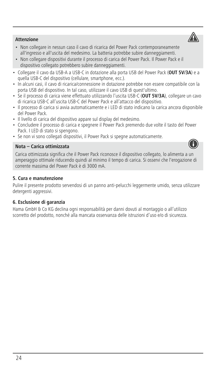## **Attenzione**

- Non collegare in nessun caso il cavo di ricarica del Power Pack contemporaneamente all'ingresso e all'uscita del medesimo. La batteria potrebbe subire danneggiamenti.
- Non collegare dispositivi durante il processo di carica del Power Pack. Il Power Pack e il dispositivo collegato potrebbero subire danneggiamenti.
- Collegare il cavo da USB-AaUSB-C in dotazione alla porta USB del Power Pack (**OUT 5V/3A**) e a quella USB-C del dispositivo (cellulare, smartphone, ecc.).
- In alcuni casi, il cavo di ricarica/connessione in dotazione potrebbe non essere compatibile con la porta USB del dispositivo. In tal caso, utilizzare il cavo USB di quest'ultimo.
- Se il processo di carica viene effettuato utilizzando l'uscita USB-C (**OUT 5V/3A**), collegare un cavo di ricarica USB-C all'uscita USB-C del Power Pack e all'attacco del dispositivo.
- Il processo di carica si avvia automaticamente eiLED di stato indicano la carica ancora disponibile del Power Pack.
- Il livello di carica del dispositivo appare sul display del medesimo.
- Concludere il processo di carica e spegnere il Power Pack premendo due volte il tasto del Power Pack. I LED di stato si spengono.
- Se non vi sono collegati dispositivi, il Power Pack si spegne automaticamente.

## **Nota – Carica ottimizzata**

Carica ottimizzata significa che il Power Pack riconosce il dispositivo collegato, lo alimenta a un amperaggio ottimale riducendo quindi al minimo il tempo di carica. Si osservi che l'erogazione di corrente massima del Power Pack è di 3000 mA.

## **5. Cura e manutenzione**

Pulire il presente prodotto servendosi di un panno anti-pelucchi leggermente umido, senza utilizzare detergenti aggressivi.

## **6. Esclusione di garanzia**

Hama GmbH & Co KG declina ogni responsabilità per danni dovuti al montaggio o all'utilizzo scorretto del prodotto, nonché alla mancata osservanza delle istruzioni d'uso e/o di sicurezza.



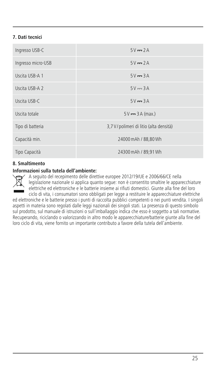## **7. Dati tecnici**

| Ingresso USB-C     | $5V = 2A$                                |
|--------------------|------------------------------------------|
| Ingresso micro-USB | $5V = 2A$                                |
| Uscita USB-A 1     | $5V = 3A$                                |
| Uscita USB-A 2     | $5V = 3A$                                |
| Uscita USB-C       | $5V = 3A$                                |
| Uscita totale      | $5V = 3A$ (max.)                         |
| Tipo di batteria   | 3,7 V / polimeri di litio (alta densità) |
| Capacità min.      | 24000 mAh / 88,80 Wh                     |
| Tipo Capacità      | 24300 mAh / 89.91 Wh                     |

## **8. Smaltimento**

#### **Informazioni sulla tutela dell'ambiente:**

A seguito del recepimento delle direttive europee 2012/19/UE e 2006/66/CE nella legislazione nazionale si applica quanto segue: non è consentito smaltire le apparecchiature elettriche ed elettroniche e le batterie insieme ai rifiuti domestici. Giunte alla fine del loro ciclo di vita, i consumatori sono obbligati per legge a restituire le apparecchiature elettriche

ed elettroniche e le batterie presso i punti di raccolta pubblici competenti o nei punti vendita. I singoli aspetti in materia sono regolati dalle leggi nazionali dei singoli stati. La presenza di questo simbolo sul prodotto, sul manuale di istruzioni o sull'imballaggio indica che esso è soggetto a tali normative. Recuperando, riciclando o valorizzando in altro modo le apparecchiature/batterie giunte alla fine del loro ciclo di vita, viene fornito un importante contributo a favore della tutela dell'ambiente.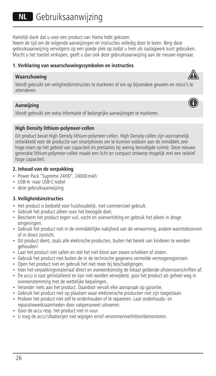Hartelijk dank dat u voor een product van Hama hebt gekozen.

Neem de tijd om de volgende aanwijzingen en instructies volledig door te lezen. Berg deze gebruiksaanwijzing vervolgens op een goede plek op zodat u hem als naslagwerk kunt gebruiken. Mocht u het toestel verkopen, geeft u dan ook deze gebruiksaanwijzing aan de nieuwe eigenaar.

## **1. Verklaring van waarschuwingssymbolen en instructies**

#### **Waarschuwing**



#### **Aanwijzing**

Wordt gebruikt om extra informatie of belangrijke aanwijzingen te markeren.

#### **High Density lithium-polymeer-cellen**

Dit product bevat High Density lithium-polymeer-cellen. High Density-cellen zijn voornamelijk ontwikkeld voor de productie van smartphones om te kunnen voldoen aan de inmiddels zeer hoge eisen op het gebied van capaciteit en prestaties bij weinig benodigde ruimte. Deze nieuwe generatie lithium-polymeer-cellen maakt een licht en compact ontwerp mogelijk met een relatief hoge capaciteit.

## **2. Inhoud van de verpakking**

- Power Pack "Supreme 24HD", 24000mAh
- USB-A- naar USB-C-kabel
- deze gebruiksaanwijzing

## **3. Veiligheidsinstructies**

- Het product is bedoeld voor huishoudelijk, niet-commercieel gebruik.
- Gebruik het product alleen voor het beoogde doel.
- Bescherm het product tegen vuil, vocht en oververhitting en gebruik het alleen in droge omgevingen.
- Gebruik het product niet in de onmiddellijke nabijheid van de verwarming, andere warmtebronnen of in direct zonlicht.
- Dit product dient, zoals alle elektrische producten, buiten het bereik van kinderen te worden gehouden!
- Laat het product niet vallen en stel het niet bloot aan zware schokken of stoten.
- Gebruik het product niet buiten de in de technische gegevens vermelde vermogensgrenzen.
- Open het product niet en gebruik het niet meer bij beschadigingen.
- Voer het verpakkingsmateriaal direct en overeenkomstig de lokaal geldende afvoervoorschriften af.
- De accu is vast geïnstalleerd en kan niet worden verwijderd, gooi het product als geheel weg in overeenstemming met de wettelijke bepalingen.
- Verander niets aan het product. Daardoor vervalt elke aanspraak op garantie.
- Gebruik het product niet op plaatsen waar elektronische producten niet zijn toegestaan.
- Probeer het product niet zelf te onderhouden of te repareren. Laat onderhouds- en reparatiewerkzaamheden door vakpersoneel uitvoeren.
- Gooi de accu resp. het product niet in vuur.
- U mag de accu's/batterijen niet wijzigen en/of vervormen/verhitten/demonteren.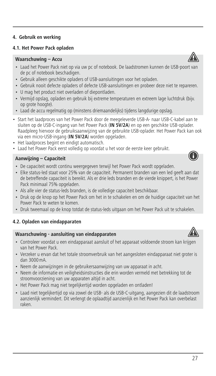## **4.1. Het Power Pack opladen**

## **Waarschuwing – Accu**

- Laad het Power Pack niet op via uw pc of notebook. De laadstromen kunnen de USB-poort van de pc of notebook beschadigen.
- Gebruik alleen geschikte opladers of USB-aansluitingen voor het opladen.
- Gebruik nooit defecte opladers of defecte USB-aansluitingen en probeer deze niet te repareren.
- U mag het product niet overladen of diepontladen.
- Vermijd opslag, opladen en gebruik bij extreme temperaturen en extreem lage luchtdruk (bijv. op grote hoogte).
- Laad de accu regelmatig op (minstens driemaandelijks) tijdens langdurige opslag.
- Start het laadproces van het Power Pack door de meegeleverde USB-A- naar USB-C-kabel aan te sluiten op de USB-C-ingang van het Power Pack (**IN 5V/2A**) en op een geschikte USB-oplader. Raadpleeg hiervoor de gebruiksaanwijzing van de gebruikte USB-oplader. Het Power Pack kan ook via een micro-USB-ingang (**IN 5V/2A**) worden opgeladen.
- Het laadproces begint en eindigt automatisch.
- Laad het Power Pack eerst volledig op voordat u het voor de eerste keer gebruikt.

#### **Aanwijzing – Capaciteit**

- De capaciteit wordt continu weergegeven terwijl het Power Pack wordt opgeladen.
- Elke status-led staat voor 25% van de capaciteit. Permanent branden van een led geeft aan dat de betreffende capaciteit is bereikt. Als er drie leds branden en de vierde knippert, is het Power Pack minimaal 75% opgeladen.
- Als alle vier de status-leds branden, is de volledige capaciteit beschikbaar.
- Druk op de knop op het Power Pack om het in te schakelen en om de huidige capaciteit van het Power Pack te weten te komen.
- Druk tweemaal op de knop totdat de status-leds uitgaan om het Power Pack uit te schakelen.

#### **4.2. Opladen van eindapparaten**

#### **Waarschuwing - aansluiting van eindapparaten**

- Controleer voordat u een eindapparaat aansluit of het apparaat voldoende stroom kan krijgen van het Power Pack.
- Verzeker u ervan dat het totale stroomverbruik van het aangesloten eindapparaat niet groter is dan 3000mA.
- Neem de aanwijzingen in de gebruikersaanwijzing van uw apparaat in acht.
- Neem de informatie en veiligheidsinstructies die erin worden vermeld met betrekking tot de stroomvoorziening van uw apparaten altijd in acht.
- Het Power Pack mag niet tegelijkertijd worden opgeladen en ontladen!
- Laad niet tegelijkertijd op via zowel de USB- als de USB-C-uitgang, aangezien dit de laadstroom aanzienlijk vermindert. Dit verlengt de oplaadtijd aanzienlijk en het Power Pack kan overbelast raken.







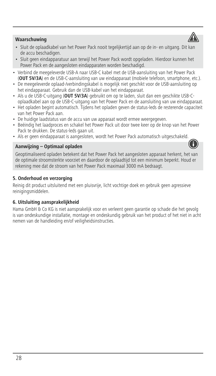## **Waarschuwing**

- Sluit de oplaadkabel van het Power Pack nooit tegelijkertijd aan op de in- en uitgang. Dit kan de accu beschadigen.
- Sluit geen eindapparatuur aan terwijl het Power Pack wordt opgeladen. Hierdoor kunnen het Power Pack en de aangesloten eindapparaten worden beschadigd.
- Verbind de meegeleverde USB-A naar USB-C kabel met de USB-aansluiting van het Power Pack (**OUT 5V/3A**) en de USB-C-aansluiting van uw eindapparaat (mobiele telefoon, smartphone, etc.).
- De meegeleverde oplaad-/verbindingskabel is mogelijk niet geschikt voor de USB-aansluiting op het eindapparaat. Gebruik dan de USB-kabel van het eindapparaat.
- Als u de USB-C-uitgang (**OUT 5V/3A**) gebruikt om op te laden, sluit dan een geschikte USB-Coplaadkabel aan op de USB-C-uitgang van het Power Pack en de aansluiting van uw eindapparaat.
- Het opladen begint automatisch. Tijdens het opladen geven de status-leds de resterende capaciteit van het Power Pack aan.
- De huidige laadstatus van de accu van uw apparaat wordt ermee weergegeven.
- Beëindig het laadproces en schakel het Power Pack uit door twee keer op de knop van het Power Pack te drukken. De status-leds gaan uit.
- Als er geen eindapparaat is aangesloten, wordt het Power Pack automatisch uitgeschakeld.

#### **Aanwijzing – Optimaal opladen**

Geoptimaliseerd opladen betekent dat het Power Pack het aangesloten apparaat herkent, het van de optimale stroomsterkte voorziet en daardoor de oplaadtijd tot een minimum beperkt. Houd er rekening mee dat de stroom van het Power Pack maximaal 3000 mA bedraagt.

## **5. Onderhoud en verzorging**

Reinig dit product uitsluitend met een pluisvrije, licht vochtige doek en gebruik geen agressieve reinigingsmiddelen.

#### **6. Uitsluiting aansprakelijkheid**

Hama GmbH & Co KG is niet aansprakelijk voor en verleent geen garantie op schade die het gevolg is van ondeskundige installatie, montage en ondeskundig gebruik van het product of het niet in acht nemen van de handleiding en/of veiligheidsinstructies.



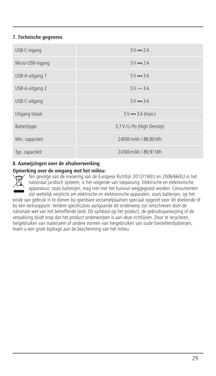## **7. Technische gegevens**

| USB-C-ingang     | $5V = 2A$                    |
|------------------|------------------------------|
| Micro-USB-ingang | $5V = 2A$                    |
| USB-A-uitgang 1  | $5V = 3A$                    |
| USB-A-uitgang 2  | $5V = 3A$                    |
| USB-C-uitgang    | $5V = 3A$                    |
| Uitgang totaal   | $5V = 3A$ (max.)             |
| Batterijtype     | 3,7 V / Li-Po (High Density) |
| Min. capaciteit  | 24000 mAh / 88,80 Wh         |
| Typ. capaciteit  | 24300 mAh / 89,91 Wh         |

## **8. Aanwijzingen over de afvalverwerking**

## **Opmerking over de omgang met het milieu:**

Ten gevolge van de invoering van de Europese Richtlijn 2012/19/EU en 2006/66/EU in het nationaal juridisch systeem, is het volgende van toepassing: Elektrische en elektronische apparatuur, zoals batterijen, mag niet met het huisvuil weggegooid worden. Consumenten zijn wettelijk verplicht om elektrische en elektronische apparaten, zoals batterijen, op het

einde van gebruik in te dienen bij openbare verzamelplaatsen speciaal opgezet voor dit doeleinde of bij een verkooppunt. Verdere specificaties aangaande dit onderwerp zijn omschreven door de nationale wet van het betreffende land. Dit symbool op het product, de gebruiksaanwijzing of de verpakking duidt erop dat het product onderworpen is aan deze richtlijnen. Door te recycleren, hergebruiken van materialen of andere vormen van hergebruiken van oude toestellen/batterijen, levert u een grote bijdrage aan de bescherming van het milieu.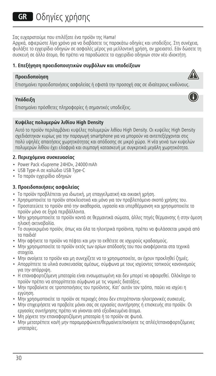# **GR** Οδηνίες χρήσης

Σας ευχαριστούμε που επιλέξατε ένα προϊόν της Hama!

Αρχικά, αφιερώστε λίγο χρόνο για να διαβάσετε τις παρακάτω οδηγίες και υποδείξεις. Στη συνέχεια, φυλάξτε το εγχειρίδιο οδηγιών σε ασφαλές μέρος για μελλοντική χρήση, αν χρειαστεί. Εάν δώσετε τη συσκευή σε άλλο άτομο, θα πρέπει να παραδώσετε το εγχειρίδιο οδηγιών στον νέο ιδιοκτήτη.

## **1. Επεξήγηση προειδοποιητικών συμβόλων και υποδείξεων**

## **Προειδοποίηση**

Επισημαίνει προειδοποιήσεις ασφαλείας ή εφιστά την προσοχή σας σε ιδιαίτερους κινδύνους.

## **Υπόδειξη**

Επισημαίνει πρόσθετες πληροφορίες ή σημαντικές υποδείξεις.

## **Κυψέλες πολυμερών λιθίου High Density**

Αυτό το προϊόν περιλαμβάνει κυψέλες πολυμερών λιθίου High Density. Οι κυψέλες High Density σχεδιάστηκαν κυρίως για την παραγωγή smartphone για να μπορούν να αντεπεξέρχονται στις πολύ υψηλές απαιτήσεις χωρητικότητας και απόδοσης σε μικρό χώρο. Η νέα γενιά των κυψελών πολυμερών λιθίου έχει ελαφριά και συμπαγή κατασκευή με συγκριτικά μεγάλη χωρητικότητα.

## **2. Περιεχόμενα συσκευασίας**

- Power Pack «Supreme 24HD», 24000mAh
- USB Type-A σε καλώδιο USB Type-C
- Το παρόν εγχειρίδιο οδηγιών

## **3. Προειδοποιήσεις ασφαλείας**

- Το προϊόν προβλέπεται για ιδιωτική, μη επαγγελματική και οικιακή χρήση.
- Χρησιμοποιείτε το προϊόν αποκλειστικά και μόνο για τον προβλεπόμενο σκοπό χρήσης του.
- Προστατεύετε το προϊόν από την ακαθαρσία, υγρασία και υπερθέρμανση και χρησιμοποιείτε το προϊόν μόνο σε ξηρά περιβάλλοντα.
- Μην χρησιμοποιείτε το προϊόν κοντά σε θερμαντικά σώματα, άλλες πηγές θέρμανσης ή στην άμεση ηλιακή ακτινοβολία.
- Το συγκεκριμένο προϊόν, όπως και όλα τα ηλεκτρικά προϊόντα, πρέπει να φυλάσσεται μακριά από τα παιδιά!
- Μην αφήνετε το προϊόν να πέφτει και μην το εκθέτετε σε ισχυρούς κραδασμούς.
- Μην χρησιμοποιείτε το προϊόν εκτός των ορίων απόδοσής του που αναφέρονται στα τεχνικά στοιχεία.
- Μην ανοίγετε το προϊόν και μη συνεχίζετε να το χρησιμοποιείτε, αν έχουν προκληθεί ζημιές.
- Απορρίπτετε τα υλικά συσκευασίας αμέσως, σύμφωνα με τους ισχύοντες τοπικούς κανονισμούς για την απόρριψη.
- Η επαναφορτιζόμενη μπαταρία είναι ενσωματωμένη και δεν μπορεί να αφαιρεθεί. Ολόκληρο το προϊόν πρέπει να απορρίπτεται σύμφωνα με τις νομικές διατάξεις.
- Μην προβαίνετε σε τροποποιήσεις του προϊόντος. Κατ' αυτόν τον τρόπο, παύει να ισχύει η εγγύηση.
- Μην χρησιμοποιείτε το προϊόν σε περιοχές όπου δεν επιτρέπονται ηλεκτρονικές συσκευές.
- Μην επιχειρήσετε να προβείτε μόνοι σας σε εργασίες συντήρησης ή επισκευής στο προϊόν. Οι εργασίες συντήρησης πρέπει να γίνονται από εξειδικευμένα άτομα.
- Μη ρίχνετε την επαναφορτιζόμενη μπαταρία ή το προϊόν σε φωτιά.
- Μην μετατρέπετε και/ή μην παραμορφώνετε/θερμαίνετε/ανοίγετε τις απλές/επαναφορτιζόμενες μπαταρίες.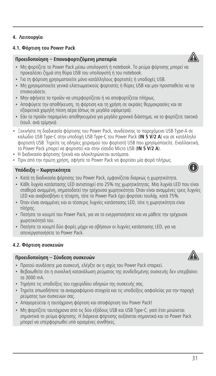## **4.1. Φόρτιση του Power Pack**

## **Προειδοποίηση – Επαναφορτιζόμενη μπαταρία**

- Μη φορτίζετε το Power Pack μέσω υπολογιστή ή notebook. Το ρεύμα φόρτισης μπορεί να προκαλέσει ζημιά στη θύρα USB του υπολογιστή ή του notebook.
- Για τη φόρτιση χρησιμοποιείτε μόνο κατάλληλους φορτιστές ή υποδοχές USB.
- Μη χρησιμοποιείτε γενικά ελαττωματικούς φορτιστές ή θύρες USB και μην προσπαθείτε να τα επισκευάσετε.
- Μην αφήνετε το προϊόν να υπερφορτίζεται ή να αποφορτίζεται πλήρως.
- Αποφύγετε την αποθήκευση, τη φόρτιση και τη χρήση σε ακραίες θερμοκρασίες και σε εξαιρετικά χαμηλή πίεση αέρα (όπως σε μεγάλα υψόμετρα).
- Εάν το προϊόν παραμείνει αποθηκευμένο για μεγάλο χρονικό διάστημα, να το φορτίζετε τακτικά (τουλ. ανά τρίμηνο).
- Ξεκινήστε τη διαδικασία φόρτισης του Power Pack, συνδέοντας το παρεχόμενο USB Type-A σε καλώδιο USB Type-C στην υποδοχή USB Type-C του Power Pack (**IN 5 V/2 A**) και σε κατάλληλο φορτιστή USB. Τηρείτε τις οδηγίες χειρισμού του φορτιστή USB που χρησιμοποιείτε. Εναλλακτικά, το Power Pack μπορεί να φορτιστεί και στην είσοδο Micro USB (**IN 5 V/2 A**).
- Η διαδικασία φόρτισης ξεκινά και ολοκληρώνεται αυτόματα.
- Πριν από την πρώτη χρήση, αφήστε το Power Pack να φορτίσει μία φορά πλήρως.

## **Υπόδειξη – Χωρητικότητα**

- Κατά τη διαδικασία φόρτισης του Power Pack, εμφανίζεται διαρκώς η χωρητικότητα.
- Κάθε λυχνία κατάστασης LED αντιστοιχεί στο 25% της χωρητικότητας. Μια λυχνία LED που είναι σταθερά αναμμένη, σηματοδοτεί την τρέχουσα χωρητικότητα. Όταν είναι αναμμένες τρεις λυχνίες LED και αναβοσβήνει η τέταρτη, τότε το Power Pack έχει φορτίσει τουλάχ. κατά 75%.
- Όταν είναι αναμμένες και οι τέσσερις λυχνίες κατάστασης LED, τότε η χωρητικότητα είναι πλήρης.
- Πατήστε το κουμπί του Power Pack, για να το ενεργοποιήσετε και να μάθετε την τρέχουσα χωρητικότητά του.
- Πατήστε το κουμπί δύο φορές μέχρι να σβήσουν οι λυχνίες κατάστασης LED, για να απενεργοποιήσετε το Power Pack.

## **4.2. Φόρτιση συσκευών**

## **Προειδοποίηση – Σύνδεση συσκευών**

- Προτού συνδέσετε μια συσκευή, ελέγξτε αν η ισχύς του Power Pack επαρκεί.
- Βεβαιωθείτε ότι η συνολική κατανάλωση ρεύματος της συνδεδεμένης συσκευής δεν υπερβαίνει τα 3000 mA.
- Τηρήστε τις υποδείξεις του εγχειριδίου οδηγιών της συσκευής σας.
- Τηρείτε οπωσδήποτε τα αναγραφόμενα στοιχεία και τις υποδείξεις ασφαλείας για την παροχή ρεύματος των συσκευών σας.
- Απαγορεύεται η ταυτόχρονη φόρτιση και αποφόρτιση του Power Pack!
- Μη φορτίζετε ταυτόχρονα από τις δύο εξόδους USB και USB Type-C, γιατί έτσι μειώνεται σημαντικά το ρεύμα φόρτισης. Η διάρκεια φόρτισης αυξάνεται σημαντικά και το Power Pack μπορεί να υπερφορτωθεί υπό ορισμένες συνθήκες.





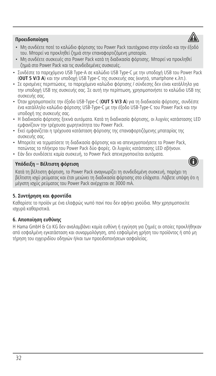## **Προειδοποίηση**

- Μη συνδέετε ποτέ το καλώδιο φόρτισης του Power Pack ταυτόχρονα στην είσοδο και την έξοδό του. Μπορεί να προκληθεί ζημιά στην επαναφορτιζόμενη μπαταρία.
- Μη συνδέετε συσκευές στο Power Pack κατά τη διαδικασία φόρτισης. Μπορεί να προκληθεί ζημιά στο Power Pack και τις συνδεδεμένες συσκευές.
- Συνδέστε το παρεχόμενο USB Type-A σε καλώδιο USB Type-C με την υποδοχή USB του Power Pack (**OUT 5 V/3 A**) και την υποδοχή USB Type-C της συσκευής σας (κινητό, smartphone κ.λπ.).
- Σε ορισμένες περιπτώσεις, το παρεχόμενο καλώδιο φόρτισης / σύνδεσης δεν είναι κατάλληλο για την υποδοχή USB της συσκευής σας. Σε αυτή την περίπτωση, χρησιμοποιήστε το καλώδιο USB της συσκευής σας.
- Όταν χρησιμοποιείτε την έξοδο USB-Type-C (**OUT 5 V/3 A**) για τη διαδικασία φόρτισης, συνδέστε ένα κατάλληλο καλώδιο φόρτισης USB-Type-C με την έξοδο USB-Type-C του Power Pack και την υποδοχή της συσκευής σας.
- Η διαδικασία φόρτισης ξεκινά αυτόματα. Κατά τη διαδικασία φόρτισης, οι λυχνίες κατάστασης LED εμφανίζουν την τρέχουσα χωρητικότητα του Power Pack.
- Εκεί εμφανίζεται η τρέχουσα κατάσταση φόρτισης της επαναφορτιζόμενης μπαταρίας της συσκευής σας.
- Μπορείτε να τερματίσετε τη διαδικασία φόρτισης και να απενεργοποιήσετε το Power Pack, πατώντας το πλήκτρο του Power Pack δύο φορές. Οι λυχνίες κατάστασης LED σβήνουν.
- Εάν δεν συνδέσετε καμία συσκευή, το Power Pack απενεργοποιείται αυτόματα.

## **Υπόδειξη – Βέλτιστη φόρτιση**

Κατά τη βέλτιστη φόρτιση, το Power Pack αναγνωρίζει τη συνδεδεμένη συσκευή, παρέχει τη βέλτιστη ισχύ ρεύματος και έτσι μειώνει τη διαδικασία φόρτισης στο ελάχιστο. Λάβετε υπόψη ότι η μέγιστη ισχύς ρεύματος του Power Pack ανέρχεται σε 3000 mA.

## **5. Συντήρηση και φροντίδα**

Καθαρίστε το προϊόν με ένα ελαφρώς νωπό πανί που δεν αφήνει χνούδια. Μην χρησιμοποιείτε ισχυρά καθαριστικά.

## **6. Αποποίηση ευθύνης**

Η Hama GmbH & Co KG δεν αναλαμβάνει καμία ευθύνη ή εγγύηση για ζημιές οι οποίες προκλήθηκαν από εσφαλμένη εγκατάσταση και συναρμολόγηση, από εσφαλμένη χρήση του προϊόντος ή από μη τήρηση του εγχειριδίου οδηγιών ή/και των προειδοποιήσεων ασφαλείας.



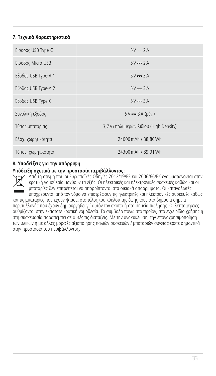## **7. Τεχνικά Χαρακτηριστικά**

| Είσοδος USB Type-C  | $5V = 2A$                               |
|---------------------|-----------------------------------------|
| Είσοδος Micro-USB   | $5V = 2A$                               |
| Έξοδος USB Type-A 1 | $5V = 3A$                               |
| Έξοδος USB Type-A 2 | $5V = 3A$                               |
| Έξοδος USB-Type-C   | $5V = 3A$                               |
| Συνολική έξοδος     | $5V = 3A (uéy.)$                        |
| Τύπος μπαταρίας     | 3,7 V / πολυμερών λιθίου (High Density) |
| Ελάχ. χωρητικότητα  | 24000 mAh / 88.80 Wh                    |
| Τύπος. χωρητικότητα | 24300 mAh / 89.91 Wh                    |

## **8. Υποδείξεις για την απόρριψη**

#### **Υπόδειξη σχετικά με την προστασία περιβάλλοντος:**



Από τη στιγμή που οι Ευρωπαϊκές Οδηγίες 2012/19/ΕΕ και 2006/66/ΕΚ ενσωματώνονται στην κρατική νομοθεσία, ισχύουν τα εξής: Οι ηλεκτρικές και ηλεκτρονικές συσκευές καθώς και οι μπαταρίες δεν επιτρέπεται να απορρίπτονται στα οικιακά απορρίμματα. Οι καταναλωτές υποχρεούνται από τον νόμο να επιστρέφουν τις ηλεκτρικές και ηλεκτρονικές συσκευές καθώς

και τις μπαταρίες που έχουν φτάσει στο τέλος του κύκλου της ζωής τους στα δημόσια σημεία περισυλλογής που έχουν δημιουργηθεί γι' αυτόν τον σκοπό ή στα σημεία πώλησης. Οι λεπτομέρειες ρυθμίζονται στην εκάστοτε κρατική νομοθεσία. Το σύμβολο πάνω στο προϊόν, στο εγχειρίδιο χρήσης ή στη συσκευασία παραπέμπει σε αυτές τις διατάξεις. Με την ανακύκλωση, την επαναχρησιμοποίηση των υλικών ή με άλλες μορφές αξιοποίησης παλιών συσκευών / μπαταριών συνεισφέρετε σημαντικά στην προστασία του περιβάλλοντος.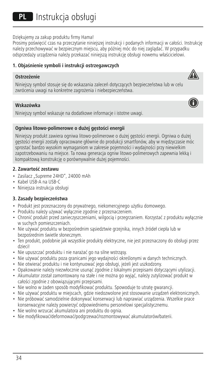PL Instrukcja obsługi

Dziękujemy za zakup produktu firmy Hama!

Prosimy poświęcić czas na przeczytanie niniejszej instrukcji i podanych informacji w całości. Instrukcję należy przechowywać w bezpiecznym miejscu, aby później móc do niej zaglądać. W przypadku odsprzedaży urządzenia należy przekazać niniejszą instrukcję obsługi nowemu właścicielowi.

⚠

Ŧ

## **1. Objaśnienie symboli i instrukcji ostrzegawczych**

#### **Ostrzeżenie**

Niniejszy symbol stosuje się do wskazania zaleceń dotyczących bezpieczeństwa lub w celu zwrócenia uwagi na konkretne zagrożenia i niebezpieczeństwa.

#### **Wskazówka**

Niniejszy symbol wskazuje na dodatkowe informacje i istotne uwagi.

#### **Ogniwa litowo-polimerowe o dużej gęstości energii**

Niniejszy produkt zawiera ogniwa litowo-polimerowe o dużej gęstości energii. Ogniwa o dużej gęstości energii zostały opracowane głównie do produkcji smartfonów, aby w międzyczasie móc sprostać bardzo wysokim wymaganiom w zakresie pojemności i wydajności przy niewielkim zapotrzebowaniu na miejsce. Ta nowa generacja ogniw litowo-polimerowych zapewnia lekką i kompaktową konstrukcję o porównywalnie dużej pojemności.

#### **2. Zawartość zestawu**

- Zasilacz "Supreme 24HD", 24000 mAh
- Kabel USB-A na USB-C
- Niniejsza instrukcja obsługi

#### **3. Zasady bezpieczeństwa**

- Produkt jest przeznaczony do prywatnego, niekomercyjnego użytku domowego.
- Produktu należy używać wyłącznie zgodnie z przeznaczeniem.
- Chronić produkt przed zanieczyszczeniami, wilgocią i przegrzaniem. Korzystać z produktu wyłącznie w suchych pomieszczeniach.
- Nie używać produktu w bezpośrednim sąsiedztwie grzejnika, innych źródeł ciepła lub w bezpośrednim świetle słonecznym.
- Ten produkt, podobnie jak wszystkie produkty elektryczne, nie jest przeznaczony do obsługi przez dzieci!
- Nie upuszczać produktu i nie narażać go na silne wstrząsy.
- Nie używać produktu poza granicami jego wydajności określonymi w danych technicznych.
- Nie otwierać produktu i nie kontynuować jego obsługi, jeżeli jest uszkodzony.
- Opakowanie należy niezwłocznie usunąć zgodnie z lokalnymi przepisami dotyczącymi utylizacji.
- Akumulator został zamontowany na stałeinie można go wyjąć, należy zutylizować produkt w całości zgodnie z obowiązującymi przepisami.
- Nie wolno w żaden sposób modyfikować produktu. Spowoduje to utratę gwarancji.
- Nie używać produktu w miejscach, gdzie niedozwolone jest stosowanie urządzeń elektronicznych.
- Nie próbować samodzielnie dokonywać konserwacji lub naprawiać urządzenia. Wszelkie prace konserwacyjne należy powierzyć odpowiedniemu personelowi specjalistycznemu.
- Nie wolno wrzucać akumulatora ani produktu do ognia.
- Nie modyfikować/deformować/podgrzewać/rozmontowywać akumulatorów/baterii.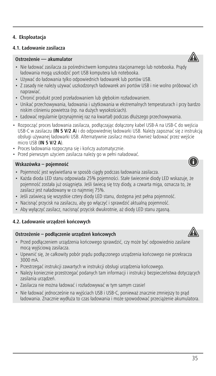## **4. Eksploatacja**

## **4.1. Ładowanie zasilacza**

## **Ostrzeżenie — akumulator**

- Nie ładować zasilacza za pośrednictwem komputera stacjonarnego lub notebooka. Prądy ładowania mogą uszkodzić port USB komputera lub notebooka.
- Używać do ładowania tylko odpowiednich ładowarek lub portów USB.
- Z zasady nie należy używać uszkodzonych ładowarek ani portów USB i nie wolno próbować ich naprawiać.
- Chronić produkt przed przeładowaniem lub głębokim rozładowaniem.
- Unikać przechowywania, ładowania i użytkowania w ekstremalnych temperaturach i przy bardzo niskim ciśnieniu powietrza (np. na dużych wysokościach).
- Ładować regularnie (przynajmniej raz na kwartał) podczas dłuższego przechowywania.
- Rozpocząć proces ładowania zasilacza, podłączając dołączony kabel USB-A na USB-C do wejścia USB-C w zasilaczu (**IN 5 V/2 A**)ido odpowiedniej ładowarki USB. Należy zapoznać się z instrukcją obsługi używanej ładowarki USB. Alternatywnie zasilacz można również ładować przez wejście micro USB (**IN 5 V/2 A**).
- Proces ładowania rozpoczyna się i kończy automatycznie.
- Przed pierwszym użyciem zasilacza należy go w pełni naładować.

#### **Wskazówka – pojemność**

- Pojemność jest wyświetlana w sposób ciągły podczas ładowania zasilacza.
- Każda dioda LED stanu odpowiada 25% pojemności. Stałe świecenie diody LED wskazuje, że pojemność została już osiągnięta. Jeśli świecą się trzy diody, a czwarta miga, oznacza to, że zasilacz jest naładowany w co najmniej 75%.
- Jeśli zaświecą się wszystkie cztery diody LED stanu, dostępna jest pełna pojemność.
- Nacisnąć przycisk na zasilaczu, aby go włączyć i sprawdzić aktualną pojemność.
- Aby wyłączyć zasilacz, nacisnąć przycisk dwukrotnie, aż diody LED stanu zgasną.

#### **4.2. Ładowanie urządzeń końcowych**

#### **Ostrzeżenie – podłączenie urządzeń końcowych**

- Przed podłączeniem urządzenia końcowego sprawdzić, czy może być odpowiednio zasilane mocą wyjściową zasilacza.
- Upewnić się, że całkowity pobór prądu podłączonego urządzenia końcowego nie przekracza 3000 mA.
- Przestrzegać instrukcji zawartych w instrukcji obsługi urządzenia końcowego.
- Należy koniecznie przestrzegać podanych tam informacji i instrukcji bezpieczeństwa dotyczących zasilania urządzeń.
- Zasilacza nie można ładować i rozładowywać w tym samym czasie!
- Nie ładować jednocześnie na wyjściach USB i USB-C, ponieważ znacznie zmniejszy to prąd ładowania. Znacznie wydłuża to czas ładowania i może spowodować przeciążenie akumulatora.









35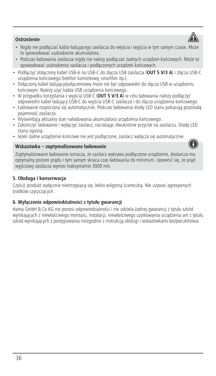## **Ostrzeżenie**

- Nigdy nie podłączać kabla ładującego zasilacza do wejścia i wyjścia w tym samym czasie. Może to spowodować uszkodzenie akumulatora.
- Podczas ładowania zasilacza nigdy nie należy podłączać żadnych urządzeń końcowych. Może to spowodować uszkodzenie zasilacza i podłączonych urządzeń końcowych.
- Podłączyć dołączony kabel USB-A na USB-C do złącza USB zasilacza (**OUT 5 V/3 A**)izłącza USB-C urządzenia końcowego (telefon komórkowy, smartfon itp.).
- Dołączony kabel ładujący/połączeniowy może nie być odpowiedni do złącza USB w urządzeniu końcowym. Należy użyć kabla USB urządzenia końcowego.
- W przypadku korzystania z wyjścia USB-C (OUT 5 V/3 A) w celu ładowania należy podłączyć odpowiedni kabel ładujący USB-C do wyjścia USB-C zasilacza i do złącza urządzenia końcowego.
- Ładowanie rozpoczyna się automatycznie. Podczas ładowania diody LED stanu pokazują pozostałą pojemność zasilacza.
- Wyświetlają aktualny stan naładowania akumulatora urządzenia końcowego.
- Zakończyć ładowanie i wyłączyć zasilacz, naciskając dwukrotnie przycisk na zasilaczu. Diody LED stanu zgasną.
- Jeżeli żadne urządzenie końcowe nie jest podłączone, zasilacz wyłącza się automatycznie.

#### **Wskazówka – zoptymalizowane ładowanie**

Zoptymalizowane ładowanie oznacza, że zasilacz wykrywa podłączone urządzenie, dostarcza mu optymalny poziom prądu i tym samym skraca czas ładowania do minimum. Upewnić się, że prąd wyjściowy zasilacza wynosi maksymalnie 3000 mA.

## **5. Obsługa i konserwacja**

Czyścić produkt wyłącznie niestrzępiącą się, lekko wilgotną ściereczką. Nie używać agresywnych środków czyszczących.

## **6. Wyłączenie odpowiedzialności z tytułu gwarancji**

Hama GmbH & Co KG nie ponosi odpowiedzialności i nie udziela żadnej gwarancji z tytułu szkód wynikających z niewłaściwego montażu, instalacji, niewłaściwego użytkowania urządzenia ani z tytułu szkód wynikających z postępowania niezgodnie z instrukcją obsługi i wskazówkami bezpieczeństwa.



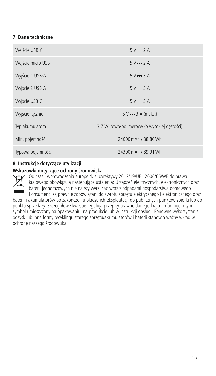# **7. Dane techniczne**

| Wejście USB-C     | $5V = 2A$                                     |
|-------------------|-----------------------------------------------|
| Wejście micro USB | $5V = 2A$                                     |
| Wyjście 1 USB-A   | $5V = 3A$                                     |
| Wyjście 2 USB-A   | $5V = 3A$                                     |
| Wyjście USB-C     | $5V = 3A$                                     |
| Wyjście łącznie   | $5 V = 3 A (maks.)$                           |
| Typ akumulatora   | 3,7 V/litowo-polimerowy (o wysokiej gestości) |
| Min. pojemność    | 24000 mAh / 88.80 Wh                          |
| Typowa pojemność  | 24300 mAh / 89.91 Wh                          |

# **8. Instrukcje dotyczące utylizacji**

### **Wskazówki dotyczące ochrony środowiska:**



Od czasu wprowadzenia europejskiej dyrektywy 2012/19/UE i 2006/66/WE do prawa krajowego obowiązują następujące ustalenia: Urządzeń elektrycznych, elektronicznych oraz baterii jednorazowych nie należy wyrzucać wraz z odpadami gospodarstwa domowego.

Konsumenci są prawnie zobowiązani do zwrotu sprzętu elektrycznego i elektronicznego oraz baterii i akumulatorów po zakończeniu okresu ich eksploatacji do publicznych punktów zbiórki lub do punktu sprzedaży. Szczegółowe kwestie regulują przepisy prawne danego kraju. Informuje o tym symbol umieszczony na opakowaniu, na produkcie lub w instrukcji obsługi. Ponowne wykorzystanie, odzysk lub inne formy recyklingu starego sprzętu/akumulatorów i baterii stanowią ważny wkład w ochronę naszego środowiska.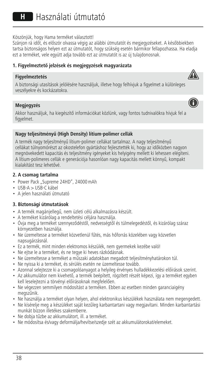Köszönjük, hogy Hama terméket választott!

Szánjon rá időt, és először olvassa végig az alábbi útmutatót és megjegyzéseket. A későbbiekben tartsa biztonságos helyen ezt az útmutatót, hogy szükség esetén bármikor fellapozhassa. Ha eladja ezt a terméket, vele együtt adja tovább ezt az útmutatót is az új tulajdonosnak.

A

⋒

# **1. Figyelmeztető jelzések és megjegyzések magyarázata**

### **Figyelmeztetés**



# **Megjegyzés**

Akkor használjuk, ha kiegészítő információkat közlünk, vagy fontos tudnivalókra hívjuk fel a figyelmet.

# **Nagy teljesítményű (High Density) lítium-polimer cellák**

A termék nagy teljesítményű lítium-polimer cellákat tartalmaz. A nagy teljesítményű cellákat túlnyomórészt az okostelefon gyártáshoz fejlesztették ki, hogy az időközben nagyon megnövekedett kapacitás és teljesítmény igényeket kis helyigény mellett ki lehessen elégíteni. A lítium-polimeres cellák e generációja hasonlóan nagy kapacitás mellett könnyű, kompakt kialakítást tesz lehetővé.

### **2. A csomag tartalma**

- Power Pack "Supreme 24HD", 24000 mAh
- USB-A>USB-C kábel
- A jelen használati útmutató

### **3. Biztonsági útmutatások**

- A termék magánjellegű, nem üzleti célú alkalmazásra készült.
- A terméket kizárólag a rendeltetési céljára használja.
- Óvja meg a terméket szennyeződéstől, nedvességtől és túlmelegedéstől, és kizárólag száraz környezetben használja.
- Ne üzemeltesse a terméket közvetlenül fűtés, más hőforrás közelében vagy közvetlen napsugárzásnál.
- Ez a termék, mint minden elektromos készülék, nem gyermekek kezébe való!
- Ne ejtse le a terméket, és ne tegye ki heves rázkódásnak.
- Ne üzemeltesse a terméket a műszaki adatokban megadott teljesítményhatárokon túl.
- Ne nyissa ki a terméket, és sérülés esetén ne üzemeltesse tovább.
- Azonnal selejtezze ki a csomagolóanyagot a helyileg érvényes hulladékkezelési előírások szerint.
- Az akkumulátor nem kivehető, a termék beépített, rögzített részét képezi, így a terméket egyben kell leselejtezni a törvényi előírásoknak megfelelően.
- Ne végezzen semmilyen módosítást a terméken. Ebben az esetben minden garanciaigény megszűnik.
- Ne használja a terméket olyan helyen, ahol elektronikus készülékek használata nem megengedett.
- Ne kísérelje meg a készüléket saját kezűleg karbantartani vagy megjavítani. Minden karbantartási munkát bízzon illetékes szakemberre.
- Ne dobja tűzbe az akkumulátort, ill. a terméket.
- Ne módosítsa és/vagy deformálja/hevítse/szedje szét az akkumulátorokat/elemeket.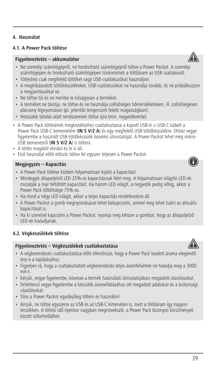# **4.1. A Power Pack töltése**

# **Figyelmeztetés – akkumulátor**

- Ne személyi számítógépről, ne hordozható számítógépről töltse a Power Packot. A személyi számítógépen és hordozható számítógépen tönkreteheti a töltőáram az USB csatlakozót.
- Töltéshez csak megfelelő töltőket vagy USB-csatlakozókat használjon.
- A meghibásodott töltőkészülékeket, USB-csatlakozókat ne használja tovább, és ne próbálkozzon a megjavításukkal se.
- Ne töltse túl és ne merítse le túlságosan a terméket.
- A terméket ne tárolja, ne töltse és ne használja szélsőséges hőmérsékleteken, ill. szélsőségesen alacsony légnyomáson (pl. jelentős tengerszint feletti magasságban).
- Hosszabb tárolás alatt rendszeresen töltse újra (min. negyedévente).
- A Power Pack töltésének megkezdéséhez csatlakoztassa a kapott USB-A>USB-C kábelt a Power Pack USB-C bemenetére (**IN 5 V/2 A**) és egy megfelelő USB-töltőkészülékre. Ehhez vegye figyelembe a használt USB-töltőkészülék kezelési útmutatóját. A Power Packot lehet még mikro-USB bemenetről (**IN 5 V/2 A**) is tölteni.
- A töltés magától elindul és le is áll.
- Első használat előtt először töltse fel egyszer teljesen a Power Packot.

# **Megjegyzés – Kapacitás**

- A Power Pack töltése közben folyamatosan kijelzi a kapacitást.
- Mindegyik állapotjelző LED 25%-os kapacitásnak felel meg. A folyamatosan világító LED-ek mutatják a már feltöltött kapacitást. Ha három LED világít, a negyedik pedig villog, akkor a Power Pack töltöttsége 75%-os.
- Ha mind a négy LED világít, akkor a teljes kapacitás rendelkezésre áll.
- A Power Packot a gomb megnyomásával lehet bekapcsolni, amivel meg lehet tudni az aktuális kapacitását is.
- Ha ki szeretné kapcsolni a Power Packot, nyomja meg kétszer a gombot, hogy az állapotjelző LED-ek kialudjanak.

# **4.2. Végkészülékek töltése**

# **Figyelmeztetés – Végkészülékek csatlakoztatása**

- A végberendezés csatlakoztatása előtt ellenőrizze, hogy a Power Pack leadott árama elegendő lesz-e a táplálásához.
- Figyeljen rá, hogy a csatlakoztatott végberendezés teljes áramfelvétele ne haladja meg a 3000 mA-t.
- Kérjük, vegye figyelembe, kövesse a termék használati útmutatójában megadott utasításokat.
- Feltétlenül vegye figyelembe a készülék áramellátásához ott megadott adatokat és a biztonsági utasításokat.
- Tilos a Power Packot egyidejűleg tölteni és használni!
- Kérjük, ne töltse egyszerre az USB és az USB-C kimeneten is, mert a töltőáram így nagyon lecsökken. A töltési idő ilyenkor nagyban megnövekszik, a Power Pack bizonyos körülmények között túlterhelődhet.





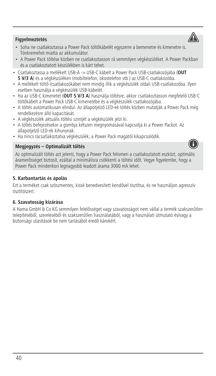# **Figyelmeztetés**

- Soha ne csatlakoztassa a Power Pack töltőkábelét egyszerre a bemenetre és kimenetre is. Tönkremehet miatta az akkumulátor.
- A Power Pack töltése közben ne csatlakoztasson rá semmilyen végkészüléket. A Power Packban és a csatlakoztatott készülékben is kárt tehet.
- Csatlakoztassa a mellékelt USB-A -> USB-C kábelt a Power Pack USB-csatlakozójába (**OUT** 5 V/3 A) és a végkészüléken (mobiltelefon, okostelefon stb.) az USB-C csatlakozóba.
- A mellékelt töltő-/csatlakozókábel nem mindig illik a végkészülék oldali USB-csatlakozóba. Ilyen esetben használja a végkészülék USB-kábelét.
- Ha az USB-C kimenetet (**OUT 5 V/3 A**) használja töltésre, akkor csatlakoztasson megfelelő USB-C töltőkábelt a Power Pack USB-C kimenetébe és a végkészülék csatlakozójába.
- A töltés automatikusan elindul. Az állapotjelző LED-ek töltés közben mutatják a Power Pack még rendelkezésre álló kapacitását.
- A végkészülék aktuális töltési szintjét a végkészülék jelzi ki.
- A töltés befejezésekor a gombja kétszeri megnyomásával kapcsolja ki a Power Packot. Az állapotjelző LED-ek kihunynak.
- Ha nincs rácsatlakoztatva végkészülék, a Power Pack magától kikapcsolódik.

# **Megjegyzés – Optimalizált töltés**

Az optimalizált töltés azt jelenti, hogy a Power Pack felismeri a csatlakoztatott eszközt, optimális áramerősséget biztosít, ezáltal a minimálisra csökkenti a töltési időt. Vegye figyelembe, hogy a Power Pack mindenkori legnagyobb leadott árama 3000 mA lehet.

# **5. Karbantartás és ápolás**

Ezt a terméket csak szöszmentes, kissé benedvesített kendővel tisztítsa, és ne használjon agresszív tisztítószert.

# **6. Szavatosság kizárása**

A Hama GmbH & Co KG semmilyen felelősséget vagy szavatosságot nem vállal a termék szakszerűtlen telepítéséből, szereléséből és szakszerűtlen használatából, vagy a használati útmutató és/vagy a biztonsági utasítások be nem tartásából eredő károkért.



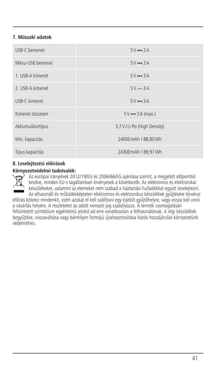# **7. Műszaki adatok**

| USB-C bemenet     | $5V = 2A$                    |
|-------------------|------------------------------|
| Mikro-USB bemenet | $5V = 2A$                    |
| 1. USB-A kimenet  | $5V = 3A$                    |
| 2. USB-A kimenet  | $5V = 3A$                    |
| USB-C kimenet     | $5V = 3A$                    |
| Kimenet összesen  | $5V \rightarrow 3A$ (max.)   |
| Akkumulátortípus  | 3,7 V / Li-Po (High Density) |
| Min. kapacitás    | 24000 mAh / 88.80 Wh         |
| Típus kapacitás   | 24300 mAh / 89,91 Wh         |

# **8. Leselejtezési előírások**

### **Környezetvédelmi tudnivalók:**

Az európai irányelvek 2012/19/EU és 2006/66/EG ajánlása szerint, a megjelölt időponttól kezdve, minden EU-s tagállamban érvényesek a következők: Az elektromos és elektronikai készülékeket, valamint az elemeket nem szabad a háztartási hulladékkal együtt leselejtezni. Az elhasznált és működésképtelen elektromos és elektronikus készülékek gyűjtésére törvényi

előírás kötelez mindenkit, ezért azokat el kell szállítani egy kijelölt gyűjtőhelyre, vagy vissza kell vinni a vásárlás helyére. A részleteket az adott nemzeti jog szabályozza. A termék csomagolásán feltüntetett szimbólum egyértelmű jelzést ad erre vonatkozóan a felhasználónak. A régi készülékek begyűjtése, visszaváltása vagy bármilyen formájú újrahasznosítása közös hozzájárulás környezetünk védelméhez.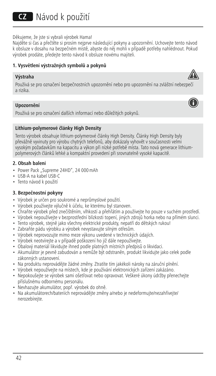CZ Návod k použití

Děkujeme, že jste si vybrali výrobek Hama!

Najděte si čas a přečtěte si prosím nejprve následující pokyny a upozornění. Uchovejte tento návod k obsluze v dosahu na bezpečném místě, abyste do něj mohli v případě potřeby nahlédnout. Pokud výrobek prodáte, předejte tento návod k obsluze novému majiteli.

# **1. Vysvětlení výstražných symbolů a pokynů**

### **Výstraha**

Používá se pro označení bezpečnostních upozornění nebo pro upozornění na zvláštní nebezpečí a rizika.

### **Upozornění**

Používá se pro označení dalších informací nebo důležitých pokynů.

### **Lithium-polymerové články High Density**

Tento výrobek obsahuje lithium-polymerové články High Density. Články High Density byly převážně vyvinuty pro výrobu chytrých telefonů, aby dokázaly vyhovět v současnosti velmi vysokým požadavkům na kapacitu a výkon při nízké potřebě místa. Tato nová generace lithiumpolymerových článků lehké a kompaktní provedení při srovnatelně vysoké kapacitě.

### **2. Obsah balení**

- Power Pack "Supreme 24HD", 24 000 mAh
- USB-A na kabel USB-C
- Tento návod k použití

# **3. Bezpečnostní pokyny**

- Výrobek je určen pro soukromé a neprůmyslové použití.
- Výrobek používejte výlučně k účelu, ke kterému byl stanoven.
- Chraňte výrobek před znečištěním, vlhkostí a přehřátím a používejte ho pouze v suchém prostředí.
- Výrobek nepoužívejte v bezprostřední blízkosti topení, jiných zdrojů horka nebo na přímém slunci.
- Tento výrobek, stejně jako všechny elektrické produkty, nepatří do dětských rukou!
- Zabraňte pádu výrobku a výrobek nevystavujte silným otřesům.
- Výrobek neprovozujte mimo meze výkonu uvedené v technických údajích.
- Výrobek neotvírejte avpřípadě poškození ho již dále nepoužívejte.
- Obalový materiál likvidujte ihned podle platných místních předpisů o likvidaci.
- Akumulátor je pevně zabudován a nemůže být odstraněn, produkt likvidujte jako celek podle zákonných ustanovení.
- Na produktu neprovádějte žádné změny. Ztratíte tím jakékoli nároky na záruční plnění.
- Výrobek nepoužívejte na místech, kde je používání elektronických zařízení zakázáno.
- Nepokoušejte se výrobek sami ošetřovat nebo opravovat. Veškeré úkony údržby přenechejte příslušnému odbornému personálu.
- Nevhazujte akumulátor, popř. výrobek do ohně.
- Na akumulátorech/bateriích neprovádějte změny a/nebo je nedeformujte/nezahřívejte/ nerozebíreite.



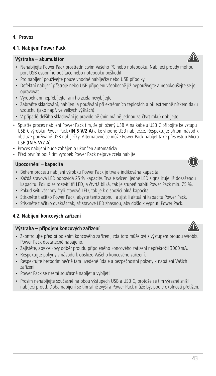### **4.1. Nabíjení Power Pack**

# **Výstraha – akumulátor**

- Nenabíjejte Power Pack prostřednictvím Vašeho PC nebo notebooku. Nabíjecí proudy mohou port USB osobního počítače nebo notebooku poškodit.
- Pro nabíjení používejte pouze vhodné nabíječky nebo USB přípojky.
- Defektní nabíjecí přístroje nebo USB připojení všeobecně již nepoužívejte a nepokoušejte se je opravovat.
- Výrobek ani nepřebíjejte, ani ho zcela nevybíjejte.
- Zabraňte skladování, nabíjení a používání při extrémních teplotách a při extrémně nízkém tlaku vzduchu (jako např. ve velkých výškách).
- V případě delšího skladování je pravidelně (minimálně jednou za čtvrt roku) dobíjejte.
- Spusťte proces nabíjení Power Pack tím, že přiložený USB-A na kabelu USB-C připojíte ke vstupu USB-C výrobku Power Pack (**IN 5 V/2 A**)ake vhodné USB nabíječce. Respektujte přitom návod k obsluze používané USB nabíječky. Alternativně se může Power Pack nabíjet také přes vstup Micro USB (**IN 5 V/2 A**).
- Proces nabíjení bude zahájen a ukončen automaticky.
- Před prvním použitím výrobek Power Pack nejprve zcela nabijte.

#### **Upozornění – kapacita**

- Během procesu nabíjení výrobku Power Pack je trvale indikována kapacita.
- Každá stavová LED odpovídá 25 % kapacity. Trvalé svícení jedné LED signalizuje již dosaženou kapacitu. Pokud se rozsvítí tři LED, a čtvrtá bliká, tak je stupeň nabití Power Pack min. 75 %.
- Pokud svítí všechny čtyři stavové LED, tak je k dispozici plná kapacita.
- Stiskněte tlačítko Power Pack, abyste tento zapnuli a zjistili aktuální kapacitu Power Pack.
- Stiskněte tlačítko dvakrát tak, až stavové LED zhasnou, aby došlo k vypnutí Power Pack.

# **4.2. Nabíjení koncových zařízení**

### **Výstraha – připojení koncových zařízení**

- Zkontrolujte před připojením koncového zařízení, zda toto může být s výstupem proudu výrobku Power Pack dostatečně napájeno.
- Zajistěte, aby celkový odběr proudu připojeného koncového zařízení nepřekročil 3000mA.
- Respektujte pokyny v návodu k obsluze Vašeho koncového zařízení.
- Respektujte bezpodmínečně tam uvedené údaje a bezpečnostní pokyny k napájení Vašich zařízení.
- Power Pack se nesmí současně nabíjet a vybíjet!
- Prosím nenabíjejte současně na obou výstupech USB a USB-C, protože se tím výrazně sníží nabíjecí proud. Doba nabíjení se tím silně zvýší a Power Pack může být podle okolností přetížen.







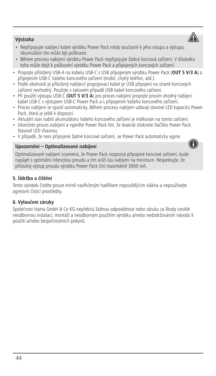# 44

# **Výstraha**

- Nepřipojujte nabíjecí kabel výrobku Power Pack nikdy současně k jeho vstupu a výstupu. Akumulátor tím může být poškozen.
- Během procesu nabíjení výrobku Power Pack nepřipojujte žádná koncová zařízení. V důsledku toho může dojít k poškození výrobku Power Pack a připojených koncových zařízení.
- Propojte přiložený USB-A na kabelu USB-C s USB připojeným výrobku Power Pack (**OUT 5 V/3 A**) a připojením USB-C Vašeho koncového zařízení (mobil, chytrý telefon, atd.).
- Podle okolností je přiložený nabíjecí/ propojovací kabel pr USB připojení na straně koncových zařízení nevhodný. Použijte v takovém případě USB kabel koncového zařízení.
- Při použití výstupu USB-C (**OUT 5 V/3 A**) pro proces nabíjení propojte prosím vhodný nabíjecí kabel USB-C s výstupem USB-C Power Pack a s připojením Vašeho koncového zařízení.
- Proces nabíjení se spustí automaticky. Během procesu nabíjení udávají stavové LED kapacitu Power Pack, která je ještě k dispozici.
- Aktuální stav nabití akumulátoru Vašeho koncového zařízení je indikován na tomto zařízení.
- Ukončete proces nabíjení a vypněte Power Pack tím, že dvakrát stisknete tlačítko Power Pack. Stavové LED zhasnou.
- V případě, že není připojené žádné koncové zařízení, se Power Pack automaticky vypne.

# **Upozornění – Optimalizované nabíjení**

Optimalizované nabíjení znamená, že Power Pack rozpozná připojené koncové zařízení, bude napájet s optimální intenzitou proudu a tím sníží čas nabíjení na minimum. Respektujte, že příslušný výstup proudu výrobku Power Pack činí maximálně 3000 mA.

# **5. Údržba a čištění**

Tento výrobek čistěte pouze mírně navlhčeným hadříkem nepouštějícím vlákna a nepoužívejte agresivní čisticí prostředky.

# **6. Vyloučení záruky**

Společnost Hama GmbH & Co KG nepřebírá žádnou odpovědnost nebo záruku za škody vzniklé neodbornou instalací, montáží a neodborným použitím výrobku a/nebo nedodržováním návodu k použití a/nebo bezpečnostních pokynů.



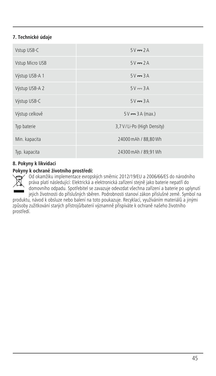# **7. Technické údaje**

| Vstup USB-C     | $5V = 2A$                    |
|-----------------|------------------------------|
| Vstup Micro USB | $5V = 2A$                    |
| Výstup USB-A 1  | $5V = 3A$                    |
| Výstup USB-A 2  | $5V = 3A$                    |
| Výstup USB-C    | $5V = 3A$                    |
| Výstup celkově  | $5V = 3A (max.)$             |
| Typ baterie     | 3,7 V / Li-Po (High Density) |
| Min. kapacita   | 24000 mAh / 88,80 Wh         |
| Typ. kapacita   | 24300 mAh / 89,91 Wh         |

# **8. Pokyny k likvidaci**

### **Pokyny k ochraně životního prostředí:**

Od okamžiku implementace evropských směrnic 2012/19/EU a 2006/66/ES do národního práva platí následující: Elektrická a elektronická zařízení stejně jako baterie nepatří do domovního odpadu. Spotřebitel se zavazuje odevzdat všechna zařízení a baterie po uplynutí

jejich životnosti do příslušných sběren. Podrobnosti stanoví zákon příslušné země. Symbol na produktu, návod k obsluze nebo balení na toto poukazuje. Recyklací, využíváním materiálů a jinými způsoby zužitkování starých přístrojů/baterií významně přispíváte k ochraně našeho životního prostředí.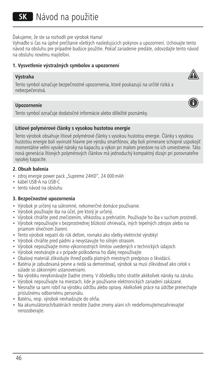# Ďakujeme, že ste sa rozhodli pre výrobok Hama!

Vyhraďte si čas na úplné prečítanie všetkých nasledujúcich pokynov a upozornení. Uchovajte tento návod na obsluhu pre prípadné budúce použitie. Pokiaľ zariadenie predáte, odovzdajte tento návod na obsluhu novému majiteľovi.

### **1. Vysvetlenie výstražných symbolov a upozornení**

### **Výstraha**

Tento symbol označuje bezpečnostné upozornenia, ktoré poukazujú na určité riziká a nebezpečenstvá.

### **Upozornenie**

Tento symbol označuje dodatočné informácie alebo dôležité poznámky.

### **Lítiové polymérové články s vysokou hustotou energie**

Tento výrobok obsahuje lítiové polymérové články s vysokou hustotou energie. Články s vysokou hustotou energie boli vyvinuté hlavne pre výrobu smartfónov, aby boli primerane schopné uspokojiť momentálne veľmi vysoké nároky na kapacitu a výkon pri malom priestore na ich umiestnenie. Táto nová generácia lítiových polymérových článkov má jednoduchý kompaktný dizajn pri porovnateľne vysokej kapacite.

### **2. Obsah balenia**

- zdroj energie power pack "Supreme 24HD", 24 000 mAh
- kábel USB-A na USB-C
- tento návod na obsluhu

### **3. Bezpečnostné upozornenia**

- Výrobok je určený na súkromné, nekomerčné domáce používanie.
- Výrobok používajte iba na účel, pre ktorý je určený.
- Výrobok chráňte pred znečistením, vlhkosťou a prehriatím. Používajte ho iba v suchom prostredí.
- Výrobok nepoužívajte v bezprostrednej blízkosti ohrievača, iných tepelných zdrojov alebo na priamom slnečnom žiarení.
- Tento výrobok nepatrí do rúk deťom, rovnako ako všetky elektrické výrobky!
- Výrobok chráňte pred pádmi a nevystavujte ho silným otrasom.
- Výrobok nepoužívajte mimo výkonnostných limitov uvedených v technických údajoch.
- Výrobok neotvárajte a v prípade poškodenia ho ďalej nepoužívajte.
- Obalový materiál zlikvidujte ihneď podľa platných miestnych predpisov o likvidácii.
- Batéria je zabudovaná pevne a nedá sa demontovať, výrobok sa musí zlikvidovať ako celok v súlade so zákonnými ustanoveniami.
- Na výrobku nevykonávajte žiadne zmeny. V dôsledku toho stratíte akékoľvek nároky na záruku.
- Výrobok nepoužívajte na miestach, kde je používanie elektronických zariadení zakázané.
- Nesnažte sa sami robiť na výrobku údržbu alebo opravy. Akékoľvek práce na údržbe prenechajte príslušnému odbornému personálu.
- Batériu, resp. výrobok nevhadzujte do ohňa.
- Na akumulátoroch/batériách nerobte žiadne zmeny a/ani ich nedeformujte/nezahrievajte/ nerozoberajte.



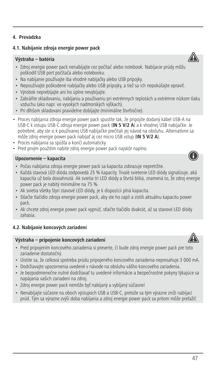# **4. Prevádzka**

# **4.1. Nabíjanie zdroja energie power pack**

# **Výstraha – batéria**

- Zdroj energie power pack nenabíjajte cez počítač alebo notebook. Nabíjacie prúdy môžu poškodiť USB port počítača alebo notebooku.
- Na nabíjanie používajte iba vhodné nabíjačky alebo USB prípojky.
- Nepoužívajte poškodené nabíjačky alebo USB prípojky, a tiež sa ich nepokúšajte opraviť.
- Výrobok neprebíjajte ani ho úplne nevybíjajte.
- Zabráňte skladovaniu, nabíjaniu a používaniu pri extrémnych teplotách a extrémne nízkom tlaku vzduchu (ako napr. vo vysokých nadmorských výškach).
- Pri dlhšom skladovaní pravidelne dobíjajte (minimálne štvrťročne).
- Proces nabíjania zdroja energie power pack spustíte tak, že pripojíte dodaný kábel USB-A na USB-C k vstupu USB-C zdroja energie power pack (**IN 5 V/2 A**)akvhodnej USB nabíjačke. Je potrebné, aby ste si k používanej USB nabíjačke prečítali jej návod na obsluhu. Alternatívne sa môže zdroj energie power pack nabíjať aj cez micro USB vstup (**IN 5 V/2 A**).
- Proces nabíjania sa spúšťaakončí automaticky.
- Pred prvým použitím nabite zdroj energie power pack najskôr naplno.

### **Upozornenie – kapacita**

- Počas nabíjania zdroja energie power pack sa kapacita zobrazuje nepretržite.
- Každá stavová LED dióda zodpovedá 25 % kapacity. Trvalé svietenie LED diódy signalizuje, aká kapacita už bola dosiahnutá. Ak svietia tri LED diódy a štvrtá bliká, znamená to, že zdroj energie power pack je nabitý minimálne na 75 %.
- Ak svietia všetky štyri stavové LED diódy, je k dispozícii plná kapacita.
- Stlačte tlačidlo zdroja energie power pack, aby ste ho zapli a zistili aktuálnu kapacitu power pack.
- Ak chcete zdroj energie power pack vypnúť, stlačte tlačidlo dvakrát, až sa stavové LED diódy zahasia.

# **4.2. Nabíjanie koncových zariadení**

### **Výstraha – pripojenie koncových zariadení**

- Pred pripojením koncového zariadenia si preverte, či bude zdroj energie power pack pre toto zariadenie dostatočný.
- Uistite sa, že celková spotreba prúdu pripojeného koncového zariadenia nepresahuje 3 000 mA.
- Dodržiavajte upozornenia uvedené v návode na obsluhu vášho koncového zariadenia.
- Je bezpodmienečne nutné dodržiavať tu uvedené informácie a bezpečnostné pokyny týkajúce sa napájania vašich zariadení na zdroj.
- Zdroj energie power pack nemôže byť nabíjaný a vybíjaný súčasne!
- Nenabíjajte súčasne na oboch výstupoch USB a USB-C, pretože sa tým výrazne zníži nabíjací prúd. Tým sa výrazne zvýši doba nabíjania a zdroj energie power pack sa pritom môže preťažiť.









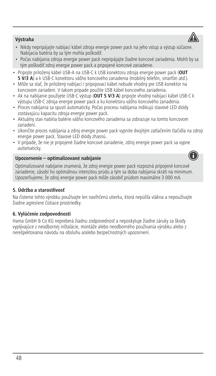# **Výstraha**

- Nikdy nepripájajte nabíjací kábel zdroja energie power pack na jeho vstup a výstup súčasne. Nabíjacia batéria by sa tým mohla poškodiť.
- Počas nabíjania zdroja energie power pack nepripájajte žiadne koncové zariadenia. Mohli by sa tým poškodiť zdroj energie power pack a pripojené koncové zariadenie.
- Pripojte priložený kábel USB-A na USB-C k USB konektoru zdroja energie power pack (**OUT 5 V/3 A**)akUSB-C konektoru vášho koncového zariadenia (mobilný telefón, smarfón atď.).
- Môže sa stať, že priložený nabíjací / pripojovací kábel nebude vhodný pre USB konektor na koncovom zariadení. V takom prípade použite USB kábel koncového zariadenia.
- Ak na nabíjanie použijete USB-C výstup (**OUT 5 V/3 A**) pripojte vhodný nabíjací kábel USB-C k výstupu USB-C zdroja energie power pack a ku konektoru vášho koncového zariadenia.
- Proces nabíjania sa spustí automaticky. Počas procesu nabíjania indikujú stavové LED diódy zostávajúcu kapacitu zdroja energie power pack.
- Aktuálny stav nabitia batérie vášho koncového zariadenia sa zobrazuje na tomto koncovom zariadení.
- Ukončite proces nabíjania a zdroj energie power pack vypnite dvojitým zatlačením tlačidla na zdroji energie power pack. Stavové LED diódy zhasnú.
- V prípade, že nie je pripojené žiadne koncové zariadenie, zdroj energie power pack sa vypne automaticky.

# **Upozornenie – optimalizované nabíjanie**

Optimalizované nabíjanie znamená, že zdroj energie power pack rozpozná pripojené koncové zariadenie, zásobí ho optimálnou intenzitou prúdu a tým sa doba nabíjania skráti na minimum. Upozorňujeme, že zdroj energie power pack môže zásobiť prúdom maximálne 3 000 mA.

# **5. Údržba a starostlivosť**

Na čistenie tohto výrobku používajte len navlhčenú utierku, ktorá nepúšťa vlákna a nepoužívajte žiadne agresívne čistiace prostriedky.

# **6. Vylúčenie zodpovednosti**

Hama GmbH & Co KG nepreberá žiadnu zodpovednosť a neposkytuje žiadne záruky za škody vyplývajúce z neodbornej inštalácie, montáže alebo neodborného používania výrobku alebo z nerešpektovania návodu na obsluhu a/alebo bezpečnostných upozornení.



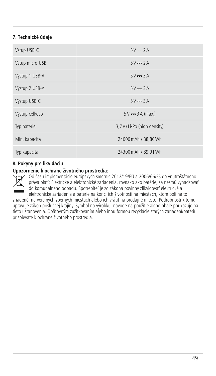# **7. Technické údaje**

| Vstup USB-C     | $5V = 2A$                  |
|-----------------|----------------------------|
| Vstup micro-USB | $5V = 2A$                  |
| Výstup 1 USB-A  | $5V = 3A$                  |
| Výstup 2 USB-A  | $5V = 3A$                  |
| Výstup USB-C    | $5V = 3A$                  |
| Výstup celkovo  | $5V = 3A$ (max.)           |
| Typ batérie     | 3,7 V/Li-Po (high density) |
| Min. kapacita   | 24000 mAh / 88,80 Wh       |
| Typ kapacita    | 24300 mAh / 89,91 Wh       |

# **8. Pokyny pre likvidáciu**

### **Upozornenie k ochrane životného prostredia:**

Od času implementácie európskych smerníc 2012/19/EÚ a 2006/66/ES do vnútroštátneho práva platí: Elektrické a elektronické zariadenia, rovnako ako batérie, sa nesmú vyhadzovať do komunálneho odpadu. Spotrebiteľ je zo zákona povinný zlikvidovať elektrické a elektronické zariadenia a batérie na konci ich životnosti na miestach, ktoré boli na to

zriadené, na verejných zberných miestach alebo ich vrátiť na predajné miesto. Podrobnosti k tomu upravuje zákon príslušnej krajiny. Symbol na výrobku, návode na použitie alebo obale poukazuje na tieto ustanovenia. Opätovným zužitkovaním alebo inou formou recyklácie starých zariadení/batérií prispievate k ochrane životného prostredia.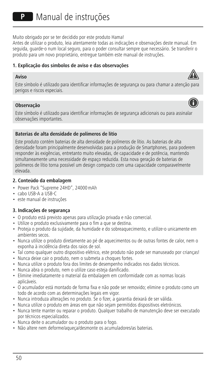Muito obrigado por se ter decidido por este produto Hama!

Antes de utilizar o produto, leia atentamente todas as indicações e observações deste manual. Em seguida, guarde-o num local seguro, para o poder consultar sempre que necessário. Se transferir o produto para um novo proprietário, entregue também este manual de instruções.

# **1. Explicação dos símbolos de aviso e das observações**

#### **Aviso**



### **Observação**

Este símbolo é utilizado para identificar informações de segurança adicionais ou para assinalar observações importantes.

### **Baterias de alta densidade de polímeros de lítio**

Este produto contém baterias de alta densidade de polímeros de lítio. As baterias de alta densidade foram principalmente desenvolvidas para a produção de Smartphones, para poderem responder às exigências, entretanto muito elevadas, de capacidade e de potência, mantendo simultaneamente uma necessidade de espaço reduzida. Esta nova geração de baterias de polímeros de lítio torna possível um design compacto com uma capacidade comparavelmente elevada.

### **2. Conteúdo da embalagem**

- Power Pack "Supreme 24HD", 24000mAh
- cabo USB-AaUSB-C
- este manual de instruções

# **3. Indicações de segurança**

- O produto está previsto apenas para utilização privada e não comercial.
- Utilize o produto exclusivamente para o fim a que se destina.
- Proteja o produto da sujidade, da humidade e do sobreaquecimento, e utilize-o unicamente em ambientes secos.
- Nunca utilize o produto diretamente ao pé de aquecimentos ou de outras fontes de calor, nem o exponha à incidência direta dos raios de sol.
- Tal como qualquer outro dispositivo elétrico, este produto não pode ser manuseado por crianças!
- Nunca deixe cair o produto, nem o submeta a choques fortes.
- Nunca utilize o produto fora dos limites de desempenho indicados nos dados técnicos.
- Nunca abra o produto, nem o utilize caso esteja danificado.
- Elimine imediatamente o material da embalagem em conformidade com as normas locais aplicáveis.
- O acumulador está montado de forma fixa e não pode ser removido; elimine o produto como um todo de acordo com as determinações legais em vigor.
- Nunca introduza alterações no produto. Se o fizer, a garantia deixará de ser válida.
- Nunca utilize o produto em áreas em que não sejam permitidos dispositivos eletrónicos.
- Nunca tente manter ou reparar o produto. Qualquer trabalho de manutenção deve ser executado por técnicos especializados.
- Nunca deite o acumulador ou o produto para o fogo.
- Não altere nem deforme/aqueça/desmonte os acumuladores/as baterias.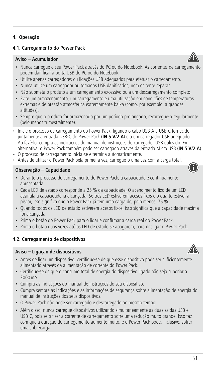# **4. Operação**

# **4.1. Carregamento do Power Pack**

# **Aviso – Acumulador**

- Nunca carregue o seu Power Pack através do PC ou do Notebook. As correntes de carregamento podem danificar a porta USB do PC ou do Notebook.
- Utilize apenas carregadores ou ligações USB adequados para efetuar o carregamento.
- Nunca utilize um carregador ou tomadas USB danificados, nem os tente reparar.
- Não submeta o produto a um carregamento excessivo ou a um descarregamento completo.
- Evite um armazenamento, um carregamento e uma utilização em condições de temperaturas extremas e de pressão atmosférica extremamente baixa (como, por exemplo, a grandes altitudes).
- Sempre que o produto for armazenado por um período prolongado, recarregue-o regularmente (pelo menos trimestralmente).
- Inicie o processo de carregamento do Power Pack, ligando o cabo USB-A a USB-C fornecido iuntamente à entrada USB-C do Power Pack (IN 5 V/2 A) e a um carregador USB adequado. Ao fazê-lo, cumpra as indicações do manual de instruções do carregador USB utilizado. Em alternativa, o Power Pack também pode ser carregado através da entrada Micro USB (**IN 5 V/2 A**).
- O processo de carregamento inicia-se e termina automaticamente.
- Antes de utilizar o Power Pack pela primeira vez, carregue-o uma vez com a carga total.

# **Observação – Capacidade**

- Durante o processo de carregamento do Power Pack, a capacidade é continuamente apresentada.
- Cada LED de estado corresponde a 25 % da capacidade. O acendimento fixo de um LED assinala a capacidade já alcançada. Se três LED estiverem acesos fixos eoquarto estiver a piscar, isso significa que o Power Pack já tem uma carga de, pelo menos, 75 %.
- Quando todos os LED de estado estiverem acesos fixos, isso significa que a capacidade máxima foi alcançada.
- Prima o botão do Power Pack para o ligar e confirmar a carga real do Power Pack.
- Prima o botão duas vezes até os LED de estado se apagarem, para desligar o Power Pack.

### **4.2. Carregamento de dispositivos**

# **Aviso – Ligação de dispositivos**



- Antes de ligar um dispositivo, certifique-se de que esse dispositivo pode ser suficientemente alimentado através da alimentação de corrente do Power Pack.
- Certifique-se de que o consumo total de energia do dispositivo ligado não seja superior a 3000mA.
- Cumpra as indicações do manual de instruções do seu dispositivo.
- Cumpra sempre as indicações e as informações de segurança sobre alimentação de energia do manual de instruções dos seus dispositivos.
- O Power Pack não pode ser carregado e descarregado ao mesmo tempo!
- Além disso, nunca carregue dispositivos utilizando simultaneamente as duas saídas USB e USB-C, pois se o fizer a corrente de carregamento sofre uma redução muito grande. Isso faz com que a duração do carregamento aumente muito, e o Power Pack pode, inclusive, sofrer uma sobrecarga.



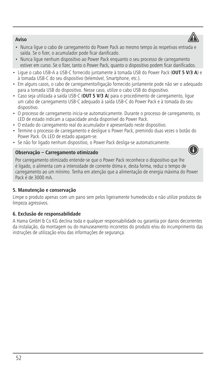# **Aviso**

- Nunca ligue o cabo de carregamento do Power Pack ao mesmo tempo às respetivas entrada e saída. Se o fizer, o acumulador pode ficar danificado.
- Nunca ligue nenhum dispositivo ao Power Pack enquanto o seu processo de carregamento estiver em curso. Se o fizer, tanto o Power Pack, quanto o dispositivo podem ficar danificados.
- Ligue o cabo USB-AaUSB-C fornecido juntamente à tomada USB do Power Pack (**OUT 5 V/3 A**) e à tomada USB-C do seu dispositivo (telemóvel, Smartphone, etc.).
- Em alguns casos, o cabo de carregamento/ligação fornecido juntamente pode não ser o adequado para a tomada USB do dispositivo. Nesse caso, utilize o cabo USB do dispositivo.
- Caso seja utilizada a saída USB-C (**OUT 5 V/3 A**) paraoprocedimento de carregamento, ligue um cabo de carregamento USB-C adequado à saída USB-C do Power Pack eàtomada do seu dispositivo.
- O processo de carregamento inicia-se automaticamente. Durante o processo de carregamento, os LED de estado indicam a capacidade ainda disponível do Power Pack.
- O estado do carregamento real do acumulador é apresentado neste dispositivo.
- Termine o processo de carregamento e desligue o Power Pack, premindo duas vezes o botão do Power Pack. Os LED de estado apagam-se.
- Se não for ligado nenhum dispositivo, o Power Pack desliga-se automaticamente.

# **Observação – Carregamento otimizado**

Por carregamento otimizado entende-se que o Power Pack reconhece o dispositivo que lhe é ligado, o alimenta com a intensidade de corrente ótima e, desta forma, reduz o tempo de carregamento ao um mínimo. Tenha em atenção que a alimentação de energia máxima do Power Pack é de 3000 mA.

# **5. Manutenção e conservação**

Limpe o produto apenas com um pano sem pelos ligeiramente humedecido e não utilize produtos de limpeza agressivos.

# **6. Exclusão de responsabilidade**

A Hama GmbH & Co KG declina toda e qualquer responsabilidade ou garantia por danos decorrentes da instalação, da montagem ou do manuseamento incorretos do produto e/ou do incumprimento das instruções de utilização e/ou das informações de segurança.



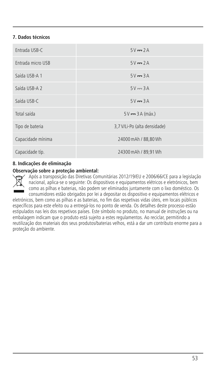# **7. Dados técnicos**

| Fntrada USB-C     | $5V = 2A$                    |
|-------------------|------------------------------|
| Entrada micro USB | $5V = 2A$                    |
| Saída USB-A 1     | $5V = 3A$                    |
| Saída USB-A 2     | $5V = 3A$                    |
| Saída USB-C       | $5V = 3A$                    |
| Total saída       | $5V \rightarrow 3A$ (máx.)   |
| Tipo de bateria   | 3.7 V/Li-Po (alta densidade) |
| Capacidade mínima | 24000 mAh / 88,80 Wh         |
| Capacidade típ.   | 24300 mAh / 89,91 Wh         |

# **8. Indicações de eliminação**

### **Observação sobreaproteção ambiental:**

Após a transposição das Diretivas Comunitárias 2012/19/EU e 2006/66/CE paraalegislação nacional, aplica-se o seguinte: Os dispositivos e equipamentos elétricos e eletrónicos, bem como as pilhas e baterias, não podem ser eliminados juntamente com o lixo doméstico. Os consumidores estão obrigados por lei a depositar os dispositivo e equipamentos elétricos e

eletrónicos, bem como as pilhas e as baterias, no fim das respetivas vidas úteis, em locais públicos específicos para este efeito ou a entregá-los no ponto de venda. Os detalhes deste processo estão estipulados nas leis dos respetivos países. Este símbolo no produto, no manual de instruções ou na embalagem indicam que o produto está sujeito a estes regulamentos. Ao reciclar, permitindo a reutilização dos materiais dos seus produtos/baterias velhos, está a dar um contributo enorme para a proteção do ambiente.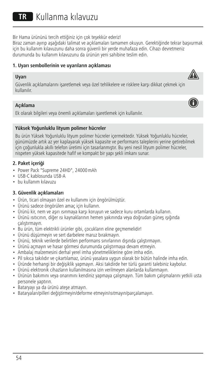Bir Hama ürününü tercih ettiğiniz için çok teşekkür ederiz!

Biraz zaman ayırıp aşağıdaki talimat ve açıklamaları tamamen okuyun. Gerektiğinde tekrar başvurmak için bu kullanım kılavuzunu daha sonra güvenli bir yerde muhafaza edin. Cihazı devretmeniz durumunda bu kullanım kılavuzunu da ürünün yeni sahibine teslim edin.

### **1. Uyarı sembollerinin ve uyarıların açıklaması**

### **Uyarı**



### **Açıklama**

Ek olarak bilgileri veya önemli açıklamaları işaretlemek için kullanılır.

### **Yüksek Yoğunluklu lityum polimer hücreler**

Bu ürün Yüksek Yoğunluklu lityum polimer hücreler içermektedir. Yüksek Yoğunluklu hücreler, günümüzde artık az yer kaplayarak yüksek kapasite ve performans taleplerini yerine getirebilmek için çoğunlukla akıllı telefon üretimi için tasarlanmıştır. Bu yeni nesil lityum polimer hücreler, nispeten yüksek kapasitede hafif ve kompakt bir yapı şekli imkanı sunar.

### **2. Paket içeriği**

- Power Pack "Supreme 24HD", 24000mAh
- USB-C kablosunda USB-A
- bu kullanım kılavuzu

# **3. Güvenlik açıklamaları**

- Ürün, ticari olmayan özel ev kullanımı için öngörülmüştür.
- Ürünü sadece öngörülen amaç için kullanın.
- Ürünü kir, nem ve aşırı ısınmaya karşı koruyun ve sadece kuru ortamlarda kullanın.
- Ürünü ısıtıcının, diğer ısı kaynaklarının hemen yakınında veya doğrudan güneş ışığında çalıştırmayın.
- Bu ürün, tüm elektrikli ürünler gibi, çocukların eline geçmemelidir!
- Ürünü düşürmeyin ve sert darbelere maruz bırakmayın.
- Ürünü, teknik verilerde belirtilen performans sınırlarının dışında çalıştırmayın.
- Ürünü açmayın ve hasar görmesi durumunda çalıştırmaya devam etmeyin.
- Ambalaj malzemesini derhal yerel imha yönetmeliklerine göre imha edin.
- Pil sıkıca takılıdır ve çıkartılamaz, ürünü yasalara uygun olarak bir bütün halinde imha edin.
- Üründe herhangi bir değişiklik yapmayın. Aksi takdirde her türlü garanti talebiniz kaybolur.
- Ürünü elektronik cihazların kullanılmasına izin verilmeyen alanlarda kullanmayın.
- Ürünün bakımını veya onarımını kendiniz yapmaya çalışmayın. Tüm bakım çalışmalarını yetkili usta personele yaptırın.
- Bataryayı ya da ürünü ateşe atmayın.
- Bataryaları/pilleri değiştirmeyin/deforme etmeyin/ısıtmayın/parçalamayın.



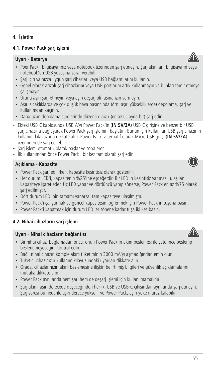# **4. İşletim**

# **4.1. Power Pack şarj işlemi**

### **Uyarı - Batarya**

- Poer Pack'i bilgisayarınız veya notebook üzerinden şarj etmeyin. Şarj akımları, bilgisayarın veya notebook'un USB yuvasına zarar verebilir.
- Şarj için yalnızca uygun şarj cihazları veya USB bağlantılarını kullanın.
- Genel olarak arızalı şarj cihazlarını veya USB portlarını artık kullanmayın ve bunları tamir etmeye çalışmayın.
- Ürünü aşırı şarj etmeyin veya aşırı deşarj olmasına izin vermeyin.
- Aşırı sıcaklıklarda ve çok düşük hava basıncında (örn. aşırı yüksekliklerde) depolama, şarj ve kullanımdan kaçının.
- Daha uzun depolama sürelerinde düzenli olarak (en az üç ayda bir) şarj edin.
- Ekteki USB-C kablosunda USB-A'yı Power Pack'in (**IN 5V/2A**) USB-C girişine ve benzer bir USB şarj cihazına bağlayarak Power Pack şarj işlemini başlatın. Bunun için kullanılan USB şarj cihazının kullanım kılavuzunu dikkate alın. Power Pack, alternatif olarak Micro USB girişi (**IN 5V/2A**) üzerinden de şarj edilebilir.
- Şarj işlemi otomatik olarak başlar ve sona erer.
- İlk kullanımdan önce Power Pack'i bir kez tam olarak şarj edin.

# **Açıklama - Kapasite**

- Power Pack şarj edilirken, kapasite kesintisiz olarak gösterilir.
- Her durum LED'i, kapasitenin %25'ine eşdeğerdir. Bir LED'in kesintisiz yanması, ulaşılan kapasiteye işaret eder. Üç LED yanar ve dördüncü yanıp sönerse, Power Pack en az %75 olarak şarj edilmiştir.
- Dört durum LED'inin tamamı yanarsa, tam kapasiteye ulaşılmıştır.
- Power Pack'i çalıştırmak ve güncel kapasitesini öğrenmek için Power Pack'in tuşuna basın.
- Power Pack'i kapatmak için durum LED'ler sönene kadar tuşa iki kez basın.

# **4.2. Nihai cihazların şarj işlemi**

### **Uyarı - Nihai cihazların bağlantısı**

- Bir nihai cihazı bağlamadan önce, onun Power Pack'in akım beslemesi ile yeterince beslenip beslenemeyeceğini kontrol edin.
- Bağlı nihai cihazın komple akım tüketiminin 3000 mA'yı aşmadığından emin olun.
- Tüketici cihazınızın kullanım kılavuzundaki uyarıları dikkate alın.
- Orada, cihazlarınızın akım beslemesine ilişkin belirtilmiş bilgileri ve güvenlik açıklamalarını mutlaka dikkate alın.
- Power Pack aynı anda hem şarj hem de deşarj işlemi için kullanılmamalıdır!
- Şarj akımı aşırı derecede düşeceğinden her iki USB ve USB-C çıkışından aynı anda şarj etmeyin. Şarj süresi bu nedenle aşırı derece yükselir ve Power Pack, aşırı yüke maruz kalabilir.









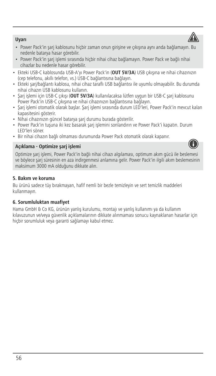# **Uyarı**

- Power Pack'in şarj kablosunu hiçbir zaman onun girişine ve çıkışına aynı anda bağlamayın. Bu nedenle batarya hasar görebilir.
- Power Pack'in şarj işlemi sırasında hiçbir nihai cihaz bağlamayın. Power Pack ve bağlı nihai cihazlar bu nedenle hasar görebilir.
- Ekteki USB-C kablosunda USB-A'yı Power Pack'in (**OUT 5V/3A**) USB çıkışına ve nihai cihazınızın (cep telefonu, akıllı telefon, vs.) USB-C bağlantısına bağlayın.
- Ekteki şarj/bağlantı kablosu, nihai cihaz taraflı USB bağlantısı ile uyumlu olmayabilir. Bu durumda nihai cihazın USB kablosunu kullanın.
- Şarj işlemi için USB-C çıkışı (**OUT 5V/3A**) kullanılacaksa lütfen uygun bir USB-C şarj kablosunu Power Pack'in USB-C çıkışına ve nihai cihazınızın bağlantısına bağlayın.
- Şarj işlemi otomatik olarak başlar. Şarj işlemi sırasında durum LED'leri, Power Pack'in mevcut kalan kapasitesini gösterir.
- Nihai cihazınızın güncel batarya şarj durumu burada gösterilir.
- Power Pack'in tuşuna iki kez basarak şarj işlemini sonlandırın ve Power Pack'i kapatın. Durum LED'leri söner.
- Bir nihai cihazın bağlı olmaması durumunda Power Pack otomatik olarak kapanır.

# **Açıklama - Optimize şarj işlemi**

Optimize şarj işlemi, Power Pack'in bağlı nihai cihazı algılaması, optimum akım gücü ile beslemesi ve böylece şarj süresinin en aza indirgenmesi anlamına gelir. Power Pack'in ilgili akım beslemesinin maksimum 3000 mA olduğunu dikkate alın.

# **5. Bakım ve koruma**

Bu ürünü sadece tüy bırakmayan, hafif nemli bir bezle temizleyin ve sert temizlik maddeleri kullanmayın.

# **6. Sorumluluktan muafiyet**

Hama GmbH & Co KG, ürünün yanlış kurulumu, montajı ve yanlış kullanımı ya da kullanım kılavuzunun ve/veya güvenlik açıklamalarının dikkate alınmaması sonucu kaynaklanan hasarlar için hiçbir sorumluluk veya garanti sağlamayı kabul etmez.



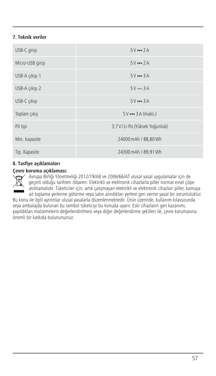# **7. Teknik veriler**

| USB-C girişi     | $5V = 2A$                     |
|------------------|-------------------------------|
| Micro-USB girisi | $5V = 2A$                     |
| USB-A cıkısı 1   | $5V = 3A$                     |
| USB-A cıkısı 2   | $5V = 3A$                     |
| USB-C cıkısı     | $5V = 3A$                     |
| Toplam çıkış     | $5V = 3A$ (maks.)             |
| Pil tipi         | 3,7 V/Li-Po (Yüksek Yoğunluk) |
| Min. kapasite    | 24000 mAh / 88,80 Wh          |
| Tip. Kapasite    | 24300 mAh / 89.91 Wh          |

# **8. Tasfiye açıklamaları**

#### **Çevre koruma açıklaması:**

Avrupa Birliği Yönetmeliği 2012/19/AB ve 2006/66/AT ulusal yasal uygulamalar için de geçerli olduğu tarihten itibaren: Elektrikli ve elektronik cihazlarla piller normal evsel çöpe atılmamalıdır. Tüketiciler için, artık çalışmayan elektrikli ve elektronik cihazları piller, kamuya ait toplama yerlerine götürme veya satın alındıkları yerlere geri verme yasal bir zorunluluktur.

Bu konu ile ilgili ayrıntılar ulusal yasalarla düzenlenmektedir. Ürün üzerinde, kullanım kılavuzunda veya ambalajda bulunan bu sembol tüketiciyi bu konuda uyarır. Eski cihazların geri kazanımı, yapıldıkları malzemelerin değerlendirilmesi veya diğer değerlendirme şekilleri ile, çevre korumasına önemli bir katkıda bulunursunuz.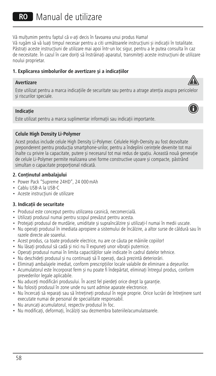RO Manual de utilizare

Vă mulțumim pentru faptul că v-ați decis în favoarea unui produs Hama!

Vă rugăm să vă luați timpul necesar pentru a citi următoarele instrucțiuni și indicații în totalitate. Păstrați aceste instrucțiuni de utilizare mai apoi într-un loc sigur, pentru a le putea consulta în caz de necesitate. În cazul în care doriți să înstrăinați aparatul, transmiteți aceste instrucțiuni de utilizare noului proprietar.

# **1. Explicarea simbolurilor de avertizare șiaindicațiilor**

#### **Avertizare**

Este utilizat pentru a marca indicațiile de securitate sau pentru a atrage atenția asupra pericolelor și riscurilor speciale.

### **Indicație**

Este utilizat pentru a marca suplimentar informații sau indicații importante.

### **Celule High Density Li-Polymer**

Acest produs include celule High Density Li-Polymer. Celulele High-Density au fost dezvoltate preponderent pentru producția smartphone-urilor, pentru a îndeplini cerințele devenite tot mai înalte cu privire la capacitate, putere și necesarul tot mai redus de spațiu. Această nouă generație de celule Li-Polymer permite realizarea unei forme constructive ușoare și compacte, păstrând simultan o capacitate proporțional ridicată.

### **2. Conținutul ambalajului**

- Power Pack "Supreme 24HD", 24 000mAh
- Cablu USB-A la USB-C
- Aceste instrucțiuni de utilizare

# **3. Indicații de securitate**

- Produsul este conceput pentru utilizarea casnică, necomercială.
- Utilizați produsul numai pentru scopul prevăzut pentru acesta.
- Protejați produsul de murdărie, umiditate și supraîncălzire și utilizați-l numai în medii uscate.
- Nu operați produsul în imediata apropiereasistemului de încălzire, a altor surse de căldură sau în razele directe ale soarelui.
- Acest produs, ca toate produsele electrice, nu are ce căuta pe mâinile copiilor!
- Nu lăsați produsul să cadă și nici nu îl expuneți unor vibrații puternice.
- Operați produsul numai în limita capacităților sale indicate în cadrul datelor tehnice.
- Nu deschideți produsul și nu continuați să îl operați, dacă prezintă deteriorări.
- Eliminați ambalajele imediat, conform prescripțiilor locale valabile de eliminare a deșeurilor.
- Acumulatorul este încorporat ferm și nu poate fi îndepărtat, eliminați întregul produs, conform prevederilor legale aplicabile.
- Nu aduceți modificări produsului. În acest fel pierdeți orice drept la garanție.
- Nu folosiți produsul în zone unde nu sunt admise aparate electronice.
- Nu încercați să reparați sau să întrețineți produsul în regie proprie. Orice lucrări de întreținere sunt executate numai de personal de specialitate responsabil.
- Nu aruncați acumulatorul, respectiv produsul în foc.
- Nu modificați, deformați, încălziți sau dezmembra bateriile/acumulatoarele.



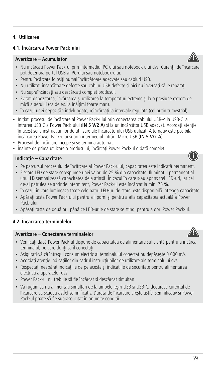# **4. Utilizarea**

### **4.1. Încărcarea Power Pack-ului**

### **Avertizare–Acumulator**

- Nu încărcați Power Pack-ul prin intermediul PC-ului sau notebook-ului dvs. Curenții de încărcare pot deteriora portul USB al PC-ului sau notebook-ului.
- Pentru încărcare folosiți numai încărcătoare adecvate sau cabluri USB.
- Nu utilizați încărcătoare defecte sau cabluri USB defecte și nici nu încercați să le reparați.
- Nu supraîncărcați sau descărcați complet produsul.
- Evitați depozitarea, încărcarea și utilizarea la temperaturi extreme și laopresiune extrem de mică a aerului (ca de ex. la înălțimi foarte mari).
- În cazul unei depozitări îndelungate, reîncărcați la intervale regulate (cel puțin trimestrial).
- Inițiați procesul de încărcare al Power Pack-ului prin conectarea cablului USB-A la USB-C la intrarea USB-C a Power Pack-ului (**IN 5 V/2 A**) și la un încărcător USB adecvat. Acordați atenție în acest sens instrucțiunilor de utilizare ale încărcătorului USB utilizat. Alternativ este posibilă încărcarea Power Pack-ului și prin intermediul intrării Micro USB (**IN 5 V/2 A**).
- Procesul de încărcare începe și se termină automat.
- Înainte de prima utilizare a produsului, încărcați Power Pack-ul o dată complet.

### **Indicație – Capacitate**

- Pe parcursul procesului de încărcare al Power Pack-ului, capacitatea este indicată permanent.
- Fiecare LED de stare corespunde unei valori de 25 % din capacitate. Iluminatul permanent al unui LD semnalizează capacitatea deja atinsă. În cazul în care s-au aprins trei LED-uri, iar cel de-al patrulea se aprinde intermitent, Power Pack-ul este încărcat la min. 75 %.
- În cazul în care luminează toate cele patru LED-uri de stare, este disponibilă întreaga capacitate.
- Apăsați tasta Power Pack-ului pentru a-l porni și pentru a afla capacitatea actuală a Power Pack-ului.
- Apăsați tasta de două ori, până ce LED-urile de stare se sting, pentru a opri Power Pack-ul.

# **4.2. Încărcarea terminalelor**

### **Avertizare–Conectarea terminalelor**

- Verificați dacă Power Pack-ul dispune de capacitatea de alimentare suficientă pentru a încărca terminalul, pe care doriți să îl conectați.
- Asigurați-vă că întregul consum electric al terminalului conectat nu depășește 3 000 mA.
- Acordați atenție indicațiilor din cadrul instrucțiunilor de utilizare ale terminalului dvs.
- Respectați neapărat indicațiile de pe acesta și indicațiile de securitate pentru alimentarea electrică a aparatelor dvs.
- Power Pack-ul nu trebuie să fie încărcat și descărcat simultan!
- Vă rugăm să nu alimentați simultan de la ambele ieșiri USB și USB-C, deoarece curentul de încărcare va scădea astfel semnificativ. Durata de încărcare crește astfel semnificativ și Power Pack-ul poate să fie suprasolicitat în anumite condiții.





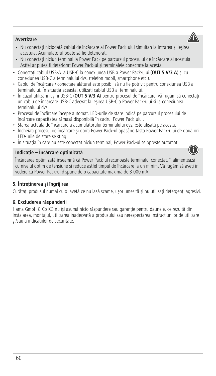# **Avertizare**

- Nu conectați niciodată cablul de încărcare al Power Pack-ului simultan la intrarea și ieșirea acestuia. Acumulatorul poate să fie deteriorat.
- Nu conectați niciun terminal la Power Pack pe parcursul procesului de încărcare al acestuia. Astfel ar putea fi deteriorat Power Pack-ul și terminalele conectate la acesta.
- Conectați cablul USB-A la USB-C la conexiunea USB a Power Pack-ului (**OUT 5 V/3 A**) și cu conexiunea USB-C a terminalului dvs. (telefon mobil, smartphone etc.).
- Cablul de încărcare/conectare alăturat este posibil să nu fie potrivit pentru conexiunea USB a terminalului. În situația aceasta, utilizați cablul USB al terminalului.
- În cazul utilizării ieșirii USB-C (**OUT 5 V/3 A**) pentru procesul de încărcare, vă rugăm să conectați un cablu de încărcare USB-C adecvat la ieșirea USB-C a Power Pack-ului și la conexiunea terminalului dvs.
- Procesul de încărcare începe automat. LED-urile de stare indică pe parcursul procesului de încărcare capacitatea rămasă disponibilă în cadrul Power Pack-ului.
- Starea actuală de încărcare a acumulatorului terminalului dvs. este afișată pe acesta.
- Încheiați procesul de încărcare și opriți Power Pack-ul apăsând tasta Power Pack-ului de două ori. LED-urile de stare se sting.
- În situația în care nu este conectat niciun terminal, Power Pack-ul se oprește automat.

### **Indicație – Încărcare optimizată**

Încărcarea optimizată înseamnă că Power Pack-ul recunoaște terminalul conectat, îl alimentează cu nivelul optim de tensiune și reduce astfel timpul de încărcare la un minim. Vă rugăm să aveți în vedere că Power Pack-ul dispune de o capacitate maximă de 3 000 mA.

# **5. Întreținerea și îngrijirea**

Curățați produsul numai cu o lavetă ce nu lasă scame, ușor umezită și nu utilizați detergenți agresivi.

# **6. Excluderea răspunderii**

Hama GmbH & Co KG nu își asumă nicio răspundere sau garanție pentru daunele, ce rezultă din instalarea, montajul, utilizarea inadecvată a produsului sau nerespectarea instrucțiunilor de utilizare și/sau a indicațiilor de securitate.



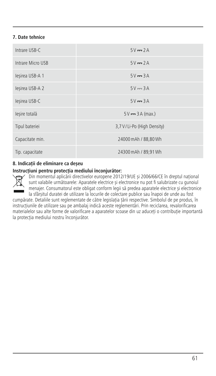# **7. Date tehnice**

| Intrare USB-C     | $5V = 2A$                    |
|-------------------|------------------------------|
| Intrare Micro USB | $5V = 2A$                    |
| lesirea USB-A 1   | $5V = 3A$                    |
| lesirea USB-A 2   | $5V = 3A$                    |
| lesirea USB-C     | $5V = 3A$                    |
| lesire totală     | $5V = 3A$ (max.)             |
| Tipul bateriei    | 3,7 V / Li-Po (High Density) |
| Capacitate min.   | 24000 mAh / 88.80 Wh         |
| Tip. capacitate   | 24300 mAh / 89.91 Wh         |

# **8. Indicații de eliminare ca deșeu**

# **Instrucțiuni pentru protecția mediului înconjurător:**

Din momentul aplicării directivelor europene 2012/19/UE și 2006/66/CE în dreptul național sunt valabile următoarele: Aparatele electrice și electronice nu pot fi salubrizate cu gunoiul menajer. Consumatorul este obligat conform legii să predea aparatele electrice și electronice la sfârșitul duratei de utilizare la locurile de colectare publice sau înapoi de unde au fost

cumpărate. Detaliile sunt reglementate de către legislația țării respective. Simbolul de pe produs, în instrucțiunile de utilizare sau pe ambalaj indică aceste reglementări. Prin reciclarea, revalorificarea materialelor sau alte forme de valorificare a aparatelor scoase din uz aduceți o contribuție importantă la protecția mediului nostru înconjurător.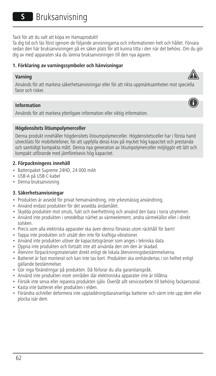**S** Bruksanvisning

Tack för att du valt att köpa en Hamaprodukt!

Ta dig tid och läs först igenom de följande anvisningarna och informationen helt och hållet. Förvara sedan den här bruksanvisningen på en säker plats för att kunna titta i den när det behövs. Om du gör dig av med apparaten ska du lämna bruksanvisningen till den nya ägaren.

# **1. Förklaring av varningssymboler och hänvisningar**

### **Varning**

Används för att markera säkerhetsanvisningar eller för att rikta uppmärksamheten mot speciella faror och risker.

### **Information**

Används för att markera ytterligare information eller viktig information.

### **Högdensitets litiumpolymerceller**

Denna produkt innehåller högdensitets litioumpolymerceller. Högdensitetsceller har i första hand utvecklats för mobiltelefoner, för att uppfylla deras krav på mycket hög kapacitet och prestanda och samtidigt kompakta mått. Denna nya generation av litiumpolymerceller möjliggör ett lätt och kompakt utförande med jämförelsevis hög kapacitet.

### **2. Förpackningens innehåll**

- Batteripaket Supreme 24HD, 24 000 mAh
- USB-A på USB-C-kabel
- Denna bruksanvisning

# **3. Säkerhetsanvisningar**

- Produkten är avsedd för privat hemanvändning, inte yrkesmässig användning.
- Använd endast produkten för det avsedda ändamålet.
- Skydda produkten mot smuts, fukt och överhettning och använd den bara i torra utrymmen.
- Använd inte produkten i omedelbar närhet av värmeelement, andra värmekällor eller i direkt solsken.
- Precis som alla elektriska apparater ska även denna förvaras utom räckhåll för barn!
- Tappa inte produkten och utsätt den inte för kraftiga vibrationer.
- Använd inte produkten utöver de kapacitetsgränser som anges i tekniska data.
- Öppna inte produkten och fortsätt inte att använda den om den är skadad.
- Återvinn förpackningsmaterialet direkt enligt de lokala återvinningsbestämmelserna.
- Batteriet är fast monterat och kan inte tas bort. Produkten ska omhändertas i sin helhet enligt gällande bestämmelser.
- Gör inga förändringar på produkten. Då förlorar du alla garantianspråk.
- Använd inte produkten inom områden där elektroniska apparater inte är tillåtna.
- Försök inte serva eller reparera produkten själv. Överlåt allt servicearbete till behörig fackpersonal.
- Kasta inte batteriet eller produkten i elden.
- Förändra och/eller deformera inte uppladdningsbara/vanliga batterier och värm inte upp dem eller plocka isär dem.



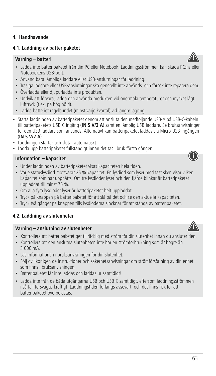### **4.1. Laddning av batteripaketet**

# **Varning – batteri**

- Ladda inte batteripaketet från din PC eller Notebook. Laddningsströmmen kan skada PC:ns eller Notebookens USB-port.
- Använd bara lämpliga laddare eller USB-anslutningar för laddning.
- Trasiga laddare eller USB-anslutningar ska generellt inte används, och försök inte reparera dem.
- Överladda eller djupurladda inte produkten.
- Undvik att förvara, ladda och använda produkten vid onormala temperaturer och mycket lågt lufttryck (t.ex. på hög höjd).
- Ladda batteriet regelbundet (minst varje kvartal) vid längre lagring.
- Starta laddningen av batteripaketet genom att ansluta den medföljande USB-A på USB-C-kabeln till batteripaketets USB-C-ingång (**IN 5 V/2 A**) samt en lämplig USB-laddare. Se bruksanvisningen för den USB-laddare som används. Alternativt kan batteripaketet laddas via Micro-USB-ingången (**IN 5 V/2 A**).
- Laddningen startar och slutar automatiskt.
- Ladda upp batteripaketet fullständigt innan det tas i bruk första gången.

### **Information – kapacitet**

- Under laddningen av batteripaketet visas kapaciteten hela tiden.
- Varje statuslysdiod motsvarar 25 % kapacitet. En lysdiod som lyser med fast sken visar vilken kapacitet som har uppnåtts. Om tre lysdioder lyser och den fjärde blinkar är batteripaketet uppladdat till minst 75 %.
- Om alla fyra lysdioder lyser är batteripaketet helt uppladdat.
- Tryck på knappen på batteripaketet för att slå på det och se den aktuella kapaciteten.
- Tryck två gånger på knappen tills lysdioderna slocknar för att stänga av batteripaketet.

# **4.2. Laddning av slutenheter**

# **Varning – anslutning av slutenheter**

- Kontrollera att batteripaketet ger tillräcklig med ström för din slutenhet innan du ansluter den.
- Kontrollera att den anslutna slutenheten inte har en strömförbrukning som är högre än 3 000 mA.
- Läs informationen i bruksanvisningen för din slutenhet.
- Följ ovillkorligen de instruktioner och säkerhetsanvisningar om strömförsörjning av din enhet som finns i bruksanvisningen.
- Batteripaketet får inte laddas och laddas ur samtidigt!
- Ladda inte från de båda utgångarna USB och USB-C samtidigt, eftersom laddningsströmmen i så fall försvagas kraftigt. Laddningstiden förlängs avsevärt, och det finns risk för att batteripaketet överbelastas.





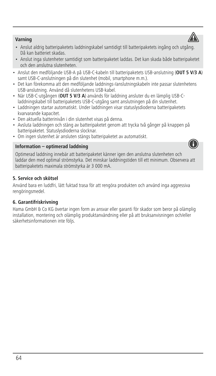

- Anslut inga slutenheter samtidigt som batteripaketet laddas. Det kan skada både batteripaketet och den anslutna slutenheten.
- Anslut den medföljande USB-A på USB-C-kabeln till batteripaketets USB-anslutning (**OUT 5 V/3 A**) samt USB-C-anslutningen på din slutenhet (mobil, smartphone m.m.).
- Det kan förekomma att den medföljande laddnings-/anslutningskabeln inte passar slutenhetens USB-anslutning. Använd då slutenhetens USB-kabel.
- När USB-C-utgången (**OUT 5 V/3 A**) används för laddning ansluter du en lämplig USB-Claddningskabel till batteripaketets USB-C-utgång samt anslutningen på din slutenhet.
- Laddningen startar automatiskt. Under laddningen visar statuslysdioderna batteripaketets kvarvarande kapacitet.
- Den aktuella batterinivån i din slutenhet visas på denna.
- Avsluta laddningen och stäng av batteripaketet genom att trycka två gånger på knappen på batteripaketet. Statuslysdioderna slocknar.
- Om ingen slutenhet är ansluten stängs batteripaketet av automatiskt.

### **Information – optimerad laddning**



Optimerad laddning innebär att batteripaketet känner igen den anslutna slutenheten och laddar den med optimal strömstyrka. Det minskar laddningstiden till ett minimum. Observera att batteripaketets maximala strömstyrka är 3 000 mA.

# **5. Service och skötsel**

Använd bara en luddfri, lätt fuktad trasa för att rengöra produkten och använd inga aggressiva rengöringsmedel.

# **6. Garantifriskrivning**

Hama GmbH & Co KG övertar ingen form av ansvar eller garanti för skador som beror på olämplig installation, montering och olämplig produktanvändning eller på att bruksanvisningen och/eller säkerhetsinformationen inte följs.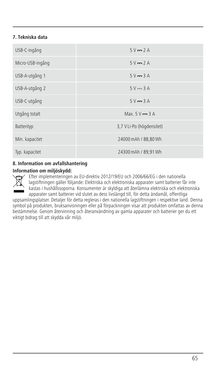# **7. Tekniska data**

| USB-C-ingång     | $5V = 2A$                     |
|------------------|-------------------------------|
| Micro-USB-ingång | $5V = 2A$                     |
| USB-A-utgång 1   | $5V = 3A$                     |
| USB-A-utgång 2   | $5V = 3A$                     |
| USB-C-utgång     | $5V = 3A$                     |
| Utgång totalt    | Max. $5 \vee \rightarrow 3 A$ |
| Batterityp       | 3,7 V Li-Po (högdensitet)     |
| Min. kapacitet   | 24000 mAh / 88,80 Wh          |
| Typ. kapacitet   | 24300 mAh / 89,91 Wh          |

# **8. Information om avfallshantering**

### **Information om miljöskydd:**



Efter implementeringen av EU-direktiv 2012/19/EU och 2006/66/EG i den nationella lagstiftningen gäller följande: Elektriska och elektroniska apparater samt batterier får inte kastas i hushållssoporna. Konsumenter är skyldiga att återlämna elektriska och elektroniska apparater samt batterier vid slutet av dess livslängd till, för detta ändamål, offentliga

uppsamlingsplatser. Detaljer för detta regleras i den nationella lagstiftningen i respektive land. Denna symbol på produkten, bruksanvisningen eller på förpackningen visar att produkten omfattas av denna bestämmelse. Genom återvinning och återanvändning av gamla apparater och batterier ger du ett viktigt bidrag till att skydda vår miljö.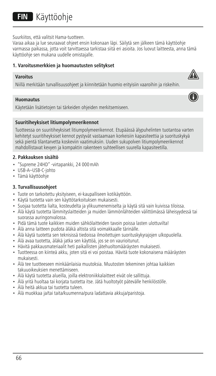# **FIN** Käyttöohje

Suurkiitos, että valitsit Hama-tuotteen.

Varaa aikaa ja lue seuraavat ohjeet ensin kokonaan läpi. Säilytä sen jälkeen tämä käyttöohje varmassa paikassa, jotta voit tarvittaessa tarkistaa siitä eri asioita. Jos luovut laitteesta, anna tämä käyttöohje sen mukana uudelle omistajalle.

# **1. Varoitusmerkkien ja huomautusten selitykset**

### **Varoitus**

Niillä merkitään turvallisuusohjeet ja kiinnitetään huomio erityisiin vaaroihin ja riskeihin.

### **Huomautus**

Käytetään lisätietojen tai tärkeiden ohjeiden merkitsemiseen.

### **Suuritiheyksiset litiumpolymeerikennot**

Tuotteessa on suuritiheyksiset litiumpolymeerikennot. Etupäässä älypuhelinten tuotantoa varten kehitetyt suuritiheyksiset kennot pystyvät vastaamaan korkeisiin kapasiteettia ja suorituskykyä sekä pientä tilantarvetta koskeviin vaatimuksiin. Uuden sukupolven litiumpolymeerikennot mahdollistavat kevyen ja kompaktin rakenteen suhteellisen suurella kapasiteetilla.

# **2. Pakkauksen sisältö**

- "Supreme 24HD" -virtapankki, 24 000mAh
- USB-A–USB-C-johto
- Tämä käyttöohje

# **3. Turvallisuusohjeet**

- Tuote on tarkoitettu yksityiseen, ei-kaupalliseen kotikäyttöön.
- Käytä tuotetta vain sen käyttötarkoituksen mukaisesti.
- Suojaa tuotetta lialta, kosteudelta ja ylikuumenemiselta ja käytä sitä vain kuivissa tiloissa.
- Älä käytä tuotetta lämmityslaitteiden ja muiden lämmönlähteiden välittömässä läheisyydessä tai suorassa auringonvalossa.
- Pidä tämä tuote kaikkien muiden sähkölaitteiden tavoin poissa lasten ulottuvilta!
- Älä anna laitteen pudota äläkä altista sitä voimakkaalle tärinälle.
- Älä käytä tuotetta sen teknisissä tiedoissa ilmoitettujen suorituskykyrajojen ulkopuolella.
- Älä avaa tuotetta, äläkä jatka sen käyttöä, jos se on vaurioitunut.
- Hävitä pakkausmateriaalit heti paikallisten jätehuoltomääräysten mukaisesti.
- Tuotteessa on kiinteä akku, joten sitä ei voi poistaa. Hävitä tuote kokonaisena määräysten mukaisesti.
- Älä tee tuotteeseen minkäänlaisia muutoksia. Muutosten tekeminen johtaa kaikkien takuuoikeuksien menettämiseen.
- Älä käytä tuotetta alueilla, joilla elektroniikkalaitteet eivät ole sallittuja.
- Älä yritä huoltaa tai korjata tuotetta itse. Jätä huoltotyöt pätevälle henkilöstölle.
- Älä heitä akkua tai tuotetta tuleen.
- Älä muokkaa ja/tai taita/kuumenna/pura ladattavia akkuja/paristoja.



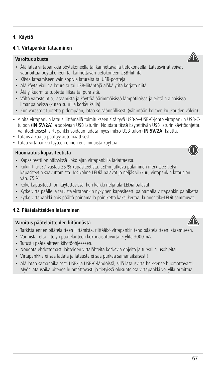### **4.1. Virtapankin lataaminen**

# **Varoitus akusta**

- Älä lataa virtapankkia pöytäkoneella tai kannettavalla tietokoneella. Latausvirrat voivat vaurioittaa pöytäkoneen tai kannettavan tietokoneen USB-liitintä.
- Käytä lataamiseen vain sopivia latureita tai USB-portteja.
- Älä käytä viallisia latureita tai USB-liitäntöjä äläkä yritä korjata niitä.
- Älä ylikuormita tuotetta liikaa tai pura sitä.
- Vältä varastointia, lataamista ja käyttöä äärimmäisissä lämpötiloissa ja erittäin alhaisissa ilmanpaineissa (kuten suurilla korkeuksilla).
- Kun varastoit tuotetta pidempään, lataa se säännöllisesti (vähintään kolmen kuukauden välein).
- Aloita virtapankin lataus liittämällä toimitukseen sisältyvä USB-A–USB-C-johto virtapankin USB-Ctuloon (**IN 5V/2A**) ja sopivaan USB-laturiin. Noudata tässä käytettävän USB-laturin käyttöohjetta. Vaihtoehtoisesti virtapankki voidaan ladata myös mikro-USB-tulon (**IN 5V/2A**) kautta.
- Lataus alkaa ja päättyy automaattisesti.
- Lataa virtapankki täyteen ennen ensimmäistä käyttöä.

### **Huomautus kapasiteetista**

- Kapasiteetti on näkyvissä koko ajan virtapankkia ladattaessa.
- Kukin tila-LED vastaa 25 % kapasiteetista. LEDin jatkuva palaminen merkitsee tietyn kapasiteetin saavuttamista. Jos kolme LEDiä palavat ja neljäs vilkkuu, virtapankin lataus on väh. 75 %.
- Koko kapasiteetti on käytettävissä, kun kaikki neljä tila-LEDiä palavat.
- Kytke virta päälle ja tarkista virtapankin nykyinen kapasiteetti painamalla virtapankin painiketta.
- Kytke virtapankki pois päältä painamalla painiketta kaksi kertaa, kunnes tila-LEDit sammuvat.

# **4.2. Päätelaitteiden lataaminen**

### **Varoitus päätelaitteiden liitännästä**

- Tarkista ennen päätelaitteen liittämistä, riittääkö virtapankin teho päätelaitteen lataamiseen.
- Varmista, että liitetyn päätelaitteen kokonaisottovirta ei ylitä 3000mA.
- Tutustu päätelaitteen käyttöohjeeseen.
- Noudata ehdottomasti laitteiden virtalähteitä koskevia ohjeita ja turvallisuusohjeita.
- Virtapankkia ei saa ladata ja latausta ei saa purkaa samanaikaisesti!
- Älä lataa samanaikaisesti USB- ja USB-C-lähdöistä, sillä latausvirta heikkenee huomattavasti. Myös latausaika pitenee huomattavasti ja tietyissä olosuhteissa virtapankki voi ylikuormittua.







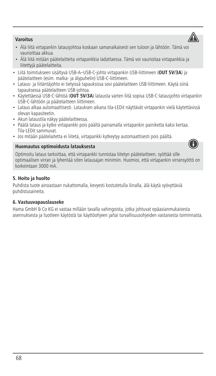- Älä liitä virtapankin latausjohtoa koskaan samanaikaisesti sen tuloon ja lähtöön. Tämä voi vaurioittaa akkua.
- Älä liitä mitään päätelaitteita virtapankkia ladattaessa. Tämä voi vaurioitaa virtapankkia ja liitettyjä päätelaitteita.
- Liitä toimitukseen sisältyvä USB-A–USB-C-johto virtapankin USB-liittimeen (**OUT 5V/3A**) ja päätelaitteen (esim. matka- ja älypuhelin) USB-C-liittimeen.
- Lataus- ja liitäntäjohto ei tietyissä tapauksissa sovi päätelaitteen USB-liittimeen. Käytä siinä tapauksessa päätelaitteen USB-johtoa.
- Käytettäessä USB-C-lähtöä (**OUT 5V/3A**) latausta varten liitä sopiva USB-C-latausjohto virtapankin USB-C-lähtöön ja päätelaitteen liittimeen.
- Lataus alkaa automaattisesti. Latauksen aikana tila-LEDit näyttävät virtapankin vielä käytettävissä olevan kapasiteetin.
- Akun lataustila näkyy päätelaitteessa.
- Päätä lataus ja kytke virtapankki pois päältä painamalla virtapankin painiketta kaksi kertaa. Tila-LEDit sammuvat.
- Jos mitään päätelaitetta ei liitetä, virtapankki kytkeytyy automaattisesti pois päältä.

#### **Huomautus optimoidusta latauksesta**



Optimoitu lataus tarkoittaa, että virtapankki tunnistaa liitetyn päätelaitteen, syöttää sille optimaalisen virran ja lyhentää siten latausajan minimiin. Huomioi, että virtapankin virransyöttö on korkeintaan 3000 mA.

### **5. Hoito ja huolto**

Puhdista tuote ainoastaan nukattomalla, kevyesti kostutetulla liinalla, älä käytä syövyttäviä puhdistusaineita.

### **6. Vastuuvapauslauseke**

Hama GmbH & Co KG ei vastaa millään tavalla vahingoista, jotka johtuvat epäasianmukaisesta asennuksesta ja tuotteen käytöstä tai käyttöohjeen ja/tai turvallisuusohjeiden vastaisesta toiminnasta.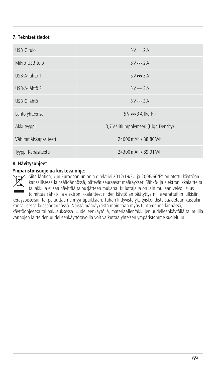# **7. Tekniset tiedot**

| $USB-C-tulo$          | $5V = 2A$                              |
|-----------------------|----------------------------------------|
| Mikro-USB-tulo        | $5V = 2A$                              |
| USB-A-lähtö 1         | $5V = 3A$                              |
| USB-A-lähtö 2         | $5V = 3A$                              |
| USB-C-lähtö           | $5V = 3A$                              |
| Lähtö yhteensä        | $5V \rightarrow 3A$ (kork.)            |
| Akkutyyppi            | 3,7 V / litiumpolymeeri (High Density) |
| Vähimmäiskapasiteetti | 24000 mAh / 88.80 Wh                   |
| Tyyppi Kapasiteetti   | 24300 mAh / 89.91 Wh                   |

# **8. Hävitysohjeet**

### **Ympäristönsuojelua koskeva ohje:**

Siitä lähtien, kun Euroopan unionin direktiivi 2012/19/EU ja 2006/66/EY on otettu käyttöön kansallisessa lainsäädännössä, pätevät seuraavat määräykset: Sähkö- ja elektroniikkalaitteita tai akkuja ei saa hävittää talousjätteen mukana. Kuluttajalla on lain mukaan velvollisuus toimittaa sähkö- ja elektroniikkalaitteet niiden käyttöiän päätyttyä niille varattuihin julkisiin

keräyspisteisiin tai palauttaa ne myyntipaikkaan. Tähän liittyvistä yksityiskohdista säädetään kussakin kansallisessa lainsäädännössä. Näistä määräyksistä mainitaan myös tuotteen merkinnässä, käyttöohjeessa tai pakkauksessa. Uudelleenkäytöllä, materiaalien/akkujen uudelleenkäytöllä tai muilla vanhojen laitteiden uudelleenkäyttötavoilla voit vaikuttaa yhteisen ympäristömme suojeluun.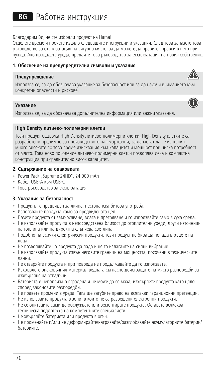Благодарим Ви, че сте избрали продукт на Hama!

Отделете време и прочете изцяло следващите инструкции и указания. След това запазете това ръководство за експлоатация на сигурно място, за да можете да правите справки в него при нужда. Ако продадете уреда, предайте това ръководство за експлоатация на новия собственик.

# **1. Обяснение на предупредителни символи и указания**

#### **Предупреждение**



#### **Указание**

Използва се, за да обозначава допълнителна информация или важни указания.

#### **High Density литиево-полимерни клетки**

Този продукт съдържа High Density литиево-полимерни клетки. High Density клетките са разработени предимно за производството на смартфони, за да могат да се изпълнят много високите по това време изисквания към капацитет и мощност при ниска потребност от място. Това ново поколение литиево-полимерни клетки позволява лека и компактна конструкция при сравнително висок капацитет.

#### **2. Съдържание на опаковката**

- Power Pack "Supreme 24HD", 24 000 mAh
- Кабел USB-A към USB-C
- Това ръководство за експлоатация

#### **3. Указания за безопасност**

- Продуктът е предвиден за лична, нестопанска битова употреба.
- Използвайте продукта само за предвидената цел.
- Пазете продукта от замърсяване, влага и прегряване и го използвайте само в суха среда.
- Не използвайте продукта в непосредствена близост до отоплителни уреди, други източници на топлина или на директна слънчева светлина.
- Подобно на всички електрически продукти, този продукт не бива да попада в ръцете на деца!
- Не позволявайте на продукта да пада и не го излагайте на силни вибрации.
- Не използвайте продукта извън неговите граници на мощността, посочени в техническите данни.
- Не отваряйте продукта и при повреда не продължавайте да го използвате.
- Изхвърлете опаковъчния материал веднага съгласно действащите на място разпоредби за изхвърляне на отпадъци.
- Батерията е неподвижно вградена и не може да се маха, изхвърлете продукта като цяло според законовите разпоредби.
- Не правете промени в уреда. Така ще загубите право на всякакви гаранционни претенции.
- Не използвайте продукта в зони, в които не са разрешени електронни продукти.
- Не се опитвайте сами да обслужвате или ремонтирате продукта. Оставете всякаква техническа поддръжка на компетентните специалисти.
- Не хвърляйте батерията или продукта в огън.
- Не променяйте и/или не деформирайте/нагрявайте/разглобявайте акумулаторните батерии/ батериите.

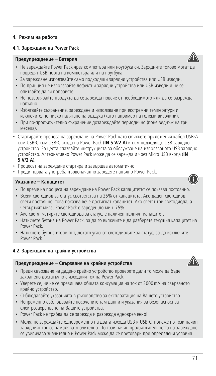# **4. Режим на работа**

#### **4.1. Зареждане на Power Pack**

# **Предупреждение – Батерия**

- Не зареждайте Power Pack чрез компютъра или ноутбука си. Зарядните токове могат да повредят USB порта на компютъра или на ноутбука.
- За зареждане използвайте само подходящи зарядни устройства или USB изводи.
- По принцип не използвайте дефектни зарядни устройства или USB изводи и не се опитвайте да ги поправяте.
- Не позволявайте продукта да се зарежда повече от необходимото или да се разрежда напълно.
- Избягвайте съхранение, зареждане и използване при екстремни температури и изключително ниско налягане на въздуха (като например на големи височини).
- При по-продължително съхранение дозареждайте периодично (поне веднъж на три месеца).
- Стартирайте процеса на зареждане на Power Pack като свържете приложения кабел USB-A към USB-C към USB-C входа на Power Pack (**IN 5 V/2 A**) и към подходящо USB зарядно устройство. За целта спазвайте инструкцията за обслужване на използваното USB зарядно устройство. Алтернативно Power Pack може да се зарежда и чрез Micro USB входа (**IN 5 V/2 A**).
- Процесът на зареждане стартира и завършва автоматично.
- Преди първата употреба първоначално заредете напълно Power Pack.

#### **Указание – Капацитет**

- По време на процеса на зареждане на Power Pack капацитетът се показва постоянно.
- Всеки светодиод за статус съответства на 25% от капацитета. Ако дален светодиод свети постоянно, това показва вече достигнат капацитет. Ако светят три светодиода, а четвъртият мига, Power Pack е зареден до мин. 75%.
- Ако светят четирите светодиода за статус, е наличен пълният капацитет.
- Натиснете бутона на Power Pack, за да го включите и да разберете текущия капацитет на Power Pack.
- Натиснете бутона втори път, докато угаснат светодиодите за статус, за да изключите Power Pack.

#### **4.2. Зареждане на крайни устройства**

#### **Предупреждение – Свързване на крайни устройства**

- Преди свързване на дадено крайно устройство проверете дали то може да бъде захранено достатъчно с изходния ток на Power Pack.
- Уверете се, че не се превишава общата консумация на ток от 3000mA на свързаното крайно устройство.
- Съблюдавайте указанията в ръководство за експлоатация на Вашето устройство.
- Непременно съблюдавайте посочените там данни и указания за безопасност за електрозахранване на Вашите устройства.
- Power Pack не трябва да се зарежда и разрежда едновременно!
- Моля, не зареждайте едновременно на двата изхода USB и USB-C, понеже по този начин зарядният ток се намалява значително. По този начин продължителността на зареждане се увеличава значително и Power Pack може да се претовари при определени условия.





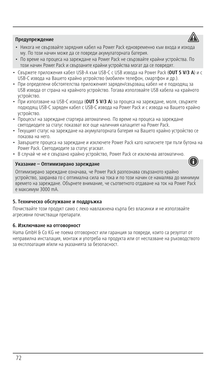

- Никога не свързвайте зарядния кабел на Power Pack едновременно към входа и изхода му. По този начин може да се повреди акумулаторната батерия.
- По време на процеса на зареждане на Power Pack не свързвайте крайни устройства. По този начин Power Pack и свързаните крайни устройства могат да се повредят.
- Свържете приложения кабел USB-A към USB-C с USB извода на Power Pack (**OUT 5 V/3 A**) и с USB-C извода на Вашето крайно устройство (мобилен телефон, смартфон и др.).
- При определени обстоятелства приложеният заряден/свързващ кабел не е подходящ за USB извода от страна на крайното устройство. Тогава използвайте USB кабела на крайното устройство.
- При използване на USB-C изхода (**OUT 5 V/3 A**) за процеса на зареждане, моля, свържете подходящ USB-C заряден кабел с USB-C извода на Power Pack исизвода на Вашето крайно устройство.
- Процесът на зареждане стартира автоматично. По време на процеса на зареждане светодиодите за статус показват все още наличния капацитет на Power Pack.
- Текущият статус на зареждане на акумулаторната батерия на Вашето крайно устройство се показва на него.
- Завършете процеса на зареждане и изключете Power Pack като натиснете три пъти бутона на Power Pack. Светодиодите за статус угасват.
- В случай че не е свързано крайно устройство, Power Pack се изключва автоматично.

### **Указание – Оптимизирано зареждане**



Оптимизирано зареждане означава, че Power Pack разпознава свързаното крайно устройство, захранва го с оптимална сила на тока и по този начин се намалява до минимум времето на зареждане. Обърнете внимание, че съответното отдаване на ток на Power Pack е максимум 3000 mA.

### **5. Техническо обслужване и поддръжка**

Почиствайте този продукт само с леко навлажнена кърпа без власинки и не използвайте агресивни почистващи препарати.

### **6. Изключване на отговорност**

Hama GmbH & Co KG не поема отговорност или гаранция за повреди, които са резултат от неправилна инсталация, монтаж и употреба на продукта или от неспазване на ръководството за експлоатация и/или на указанията за безопасност.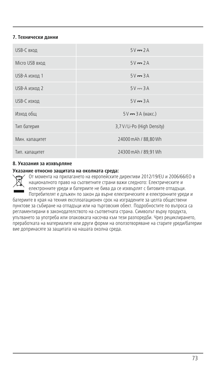### **7. Технически данни**

| USB-С вход     | $5V = 2A$                  |
|----------------|----------------------------|
| Micro USB вход | $5V = 2A$                  |
| USB-А изход 1  | $5V = 3A$                  |
| USB-А изход 2  | $5V = 3A$                  |
| USB-С изход    | $5V = 3A$                  |
| Изход общ      | $5V = 3A$ (Makc.)          |
| Тип батерия    | 3,7 V/Li-Po (High Density) |
| Мин. капацитет | 24000 mAh / 88.80 Wh       |
| Тип. капацитет | 24300 mAh / 89,91 Wh       |

#### **8. Указания за изхвърляне**

#### **Указание относно защитата на околната среда:**

От момента на прилагането на европейските директиви 2012/19/EU и 2006/66/EО в националното право на съответните страни важи следното: Електрическите и електронните уреди и батериите не бива да се изхвърлят с битовите отпадъци. Потребителят е длъжен по закон да върне електрическите и електронните уреди и

батериите в края на техния експлоатационен срок на изградените за целта обществени пунктове за събиране на отпадъци или на търговския обект. Подробностите по въпроса са регламентирани в законодателството на съответната страна. Символът върху продукта, упътването за употреба или опаковката насочва към тези разпоредби. Чрез рециклирането, преработката на материалите или други форми на оползотворяване на старите уреди/батерии вие допринасяте за защитата на нашата околна среда.